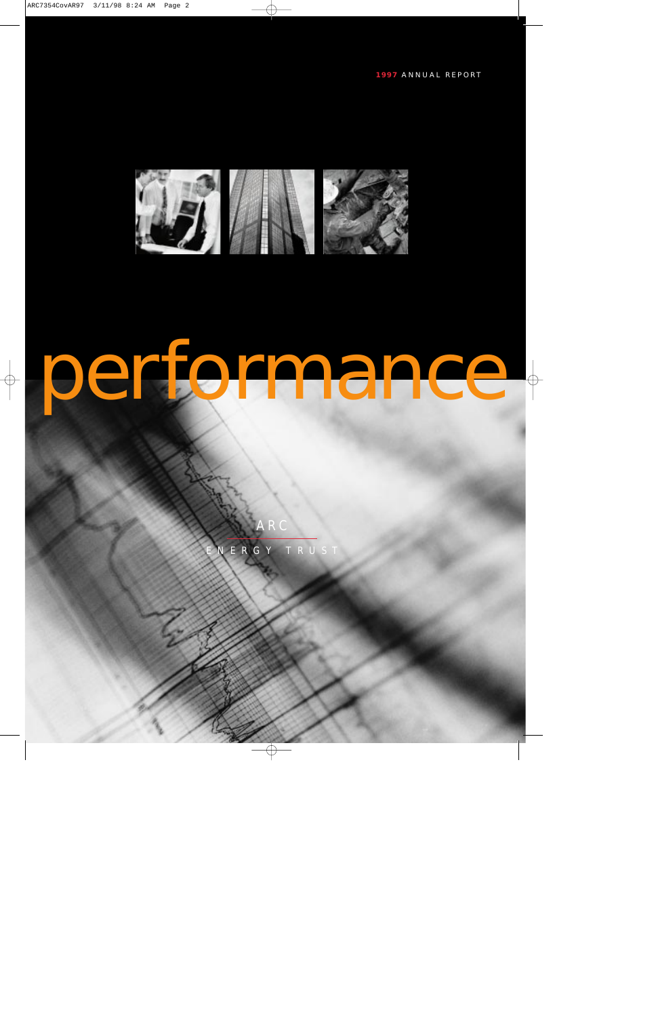

## performance

ARC

ERGY TRUST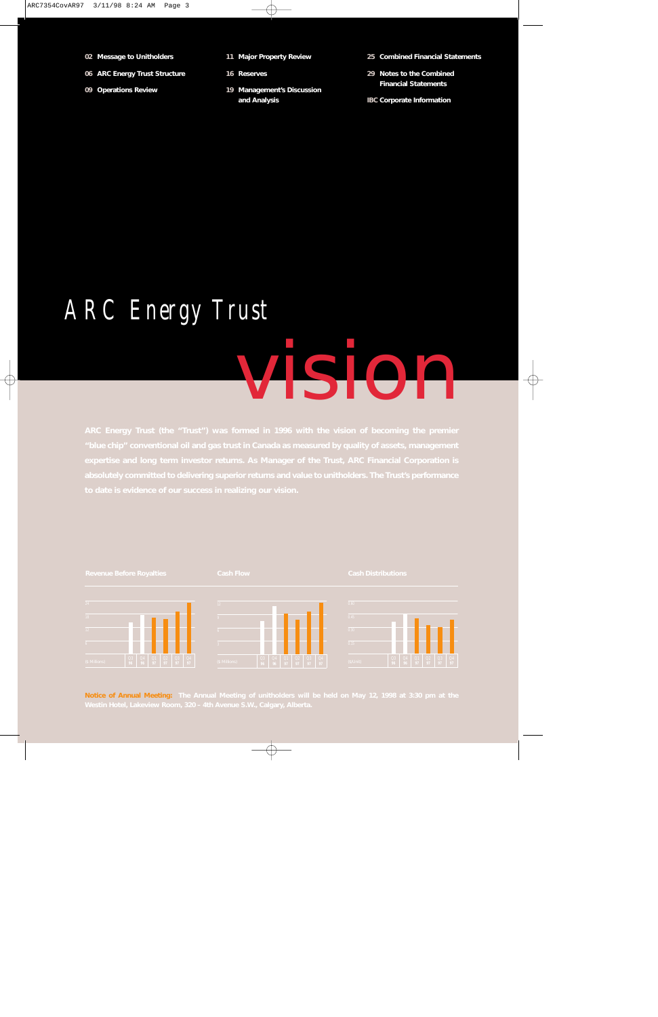- **02 Message to Unitholders**
- **06 ARC Energy Trust Structure**
- **09 Operations Review**
- **11 Major Property Review**
- **16 Reserves**
- **19 Management's Discussion and Analysis**

**25 Combined Financial Statements** 

- **29 Notes to the Combined Financial Statements**
- **IBC Corporate Information**

### *ARC Energy Trust*

## vision



**Notice of Annual Meeting: The Annual Meeting of unitholders will be held on May 12, 1998 at 3:30 pm at the**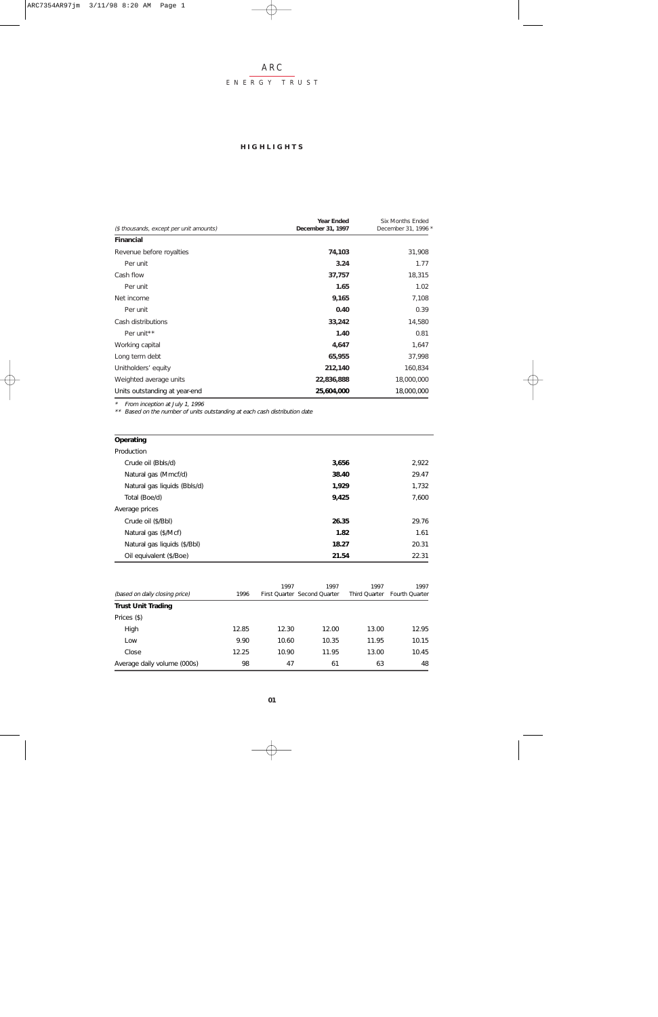#### ENERGY TRUST

#### **HIGHLIGHTS**

|                                         | <b>Year Ended</b> | <b>Six Months Ended</b> |
|-----------------------------------------|-------------------|-------------------------|
| (\$ thousands, except per unit amounts) | December 31, 1997 | December 31, 1996 *     |
| <b>Financial</b>                        |                   |                         |
| Revenue before royalties                | 74,103            | 31,908                  |
| Per unit                                | 3.24              | 1.77                    |
| Cash flow                               | 37,757            | 18,315                  |
| Per unit                                | 1.65              | 1.02                    |
| Net income                              | 9,165             | 7,108                   |
| Per unit                                | 0.40              | 0.39                    |
| Cash distributions                      | 33,242            | 14,580                  |
| Per unit <sup>**</sup>                  | 1.40              | 0.81                    |
| Working capital                         | 4,647             | 1,647                   |
| Long term debt                          | 65,955            | 37,998                  |
| Unitholders' equity                     | 212,140           | 160,834                 |
| Weighted average units                  | 22,836,888        | 18,000,000              |
| Units outstanding at year-end           | 25,604,000        | 18,000,000              |

\* From inception at July 1, 1996 \*\* Based on the number of units outstanding at each cash distribution date

#### **Operating**

| Production                   |       |       |
|------------------------------|-------|-------|
| Crude oil (Bbls/d)           | 3,656 | 2,922 |
| Natural gas (Mmcf/d)         | 38.40 | 29.47 |
| Natural gas liquids (Bbls/d) | 1.929 | 1,732 |
| Total (Boe/d)                | 9,425 | 7,600 |
| Average prices               |       |       |
| Crude oil (\$/Bbl)           | 26.35 | 29.76 |
| Natural gas (\$/Mcf)         | 1.82  | 1.61  |
| Natural gas liquids (\$/Bbl) | 18.27 | 20.31 |
| Oil equivalent (\$/Boe)      | 21.54 | 22.31 |

| (based on daily closing price) | 1996  | 1997  | 1997<br>First Quarter Second Quarter | 1997<br>Third Ouarter | 1997<br>Fourth Quarter |
|--------------------------------|-------|-------|--------------------------------------|-----------------------|------------------------|
| <b>Trust Unit Trading</b>      |       |       |                                      |                       |                        |
| Prices (\$)                    |       |       |                                      |                       |                        |
| High                           | 12.85 | 12.30 | 12.00                                | 13.00                 | 12.95                  |
| Low                            | 9.90  | 10.60 | 10.35                                | 11.95                 | 10.15                  |
| Close                          | 12.25 | 10.90 | 11.95                                | 13.00                 | 10.45                  |
| Average daily volume (000s)    | 98    | 47    | 61                                   | 63                    | 48                     |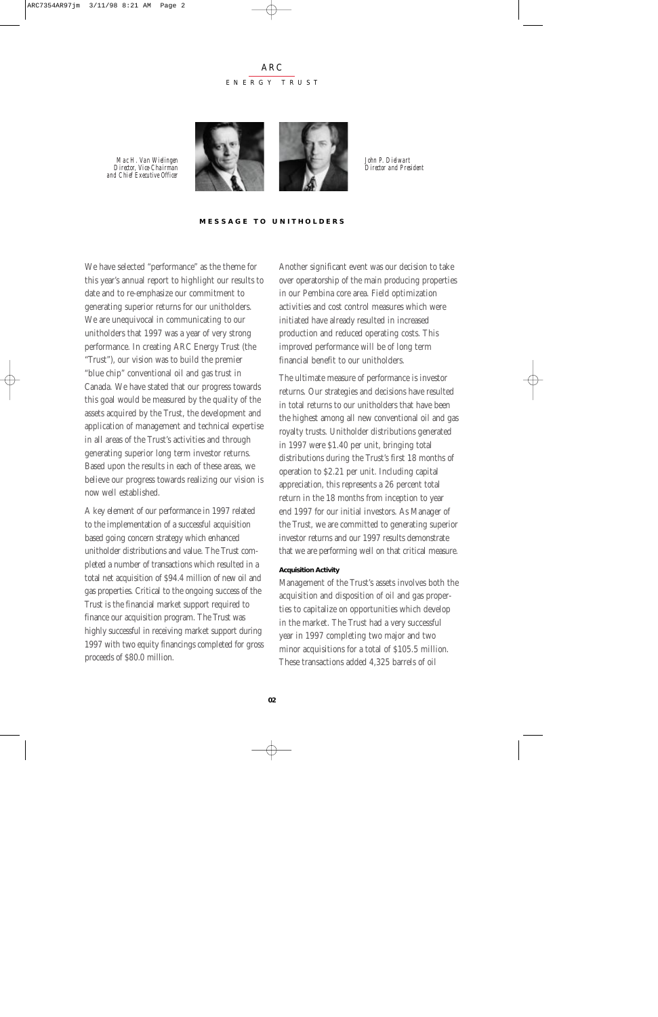#### ARC ENERGY TRUST

*Mac H. Van Wielingen Director, Vice-Chairman and Chief Executive Officer*



*John P. Dielwart Director and President*

#### **MESSAGE TO UNITHOLDERS**

We have selected "performance" as the theme for this year's annual report to highlight our results to date and to re-emphasize our commitment to generating superior returns for our unitholders. We are unequivocal in communicating to our unitholders that 1997 was a year of very strong performance. In creating ARC Energy Trust (the "Trust"), our vision was to build the premier "blue chip" conventional oil and gas trust in Canada. We have stated that our progress towards this goal would be measured by the quality of the assets acquired by the Trust, the development and application of management and technical expertise in all areas of the Trust's activities and through generating superior long term investor returns. Based upon the results in each of these areas, we believe our progress towards realizing our vision is now well established.

A key element of our performance in 1997 related to the implementation of a successful acquisition based going concern strategy which enhanced unitholder distributions and value. The Trust completed a number of transactions which resulted in a total net acquisition of \$94.4 million of new oil and gas properties. Critical to the ongoing success of the Trust is the financial market support required to finance our acquisition program. The Trust was highly successful in receiving market support during 1997 with two equity financings completed for gross proceeds of \$80.0 million.

Another significant event was our decision to take over operatorship of the main producing properties in our Pembina core area. Field optimization activities and cost control measures which were initiated have already resulted in increased production and reduced operating costs. This improved performance will be of long term financial benefit to our unitholders.

The ultimate measure of performance is investor returns. Our strategies and decisions have resulted in total returns to our unitholders that have been the highest among all new conventional oil and gas royalty trusts. Unitholder distributions generated in 1997 were \$1.40 per unit, bringing total distributions during the Trust's first 18 months of operation to \$2.21 per unit. Including capital appreciation, this represents a 26 percent total return in the 18 months from inception to year end 1997 for our initial investors. As Manager of the Trust, we are committed to generating superior investor returns and our 1997 results demonstrate that we are performing well on that critical measure.

#### **Acquisition Activity**

Management of the Trust's assets involves both the acquisition and disposition of oil and gas properties to capitalize on opportunities which develop in the market. The Trust had a very successful year in 1997 completing two major and two minor acquisitions for a total of \$105.5 million. These transactions added 4,325 barrels of oil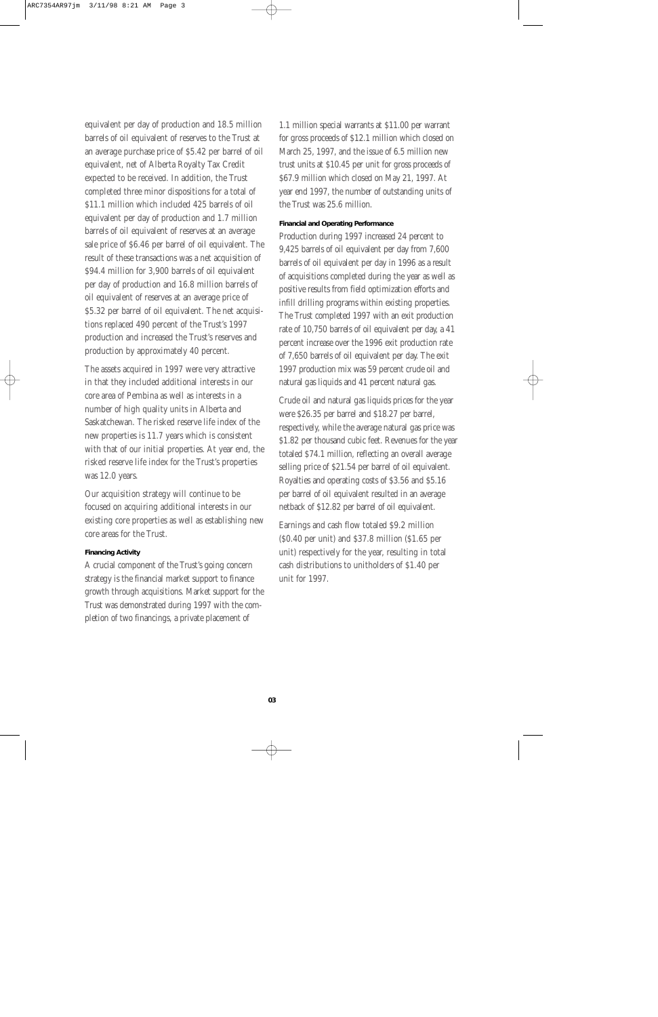equivalent per day of production and 18.5 million barrels of oil equivalent of reserves to the Trust at an average purchase price of \$5.42 per barrel of oil equivalent, net of Alberta Royalty Tax Credit expected to be received. In addition, the Trust completed three minor dispositions for a total of \$11.1 million which included 425 barrels of oil equivalent per day of production and 1.7 million barrels of oil equivalent of reserves at an average sale price of \$6.46 per barrel of oil equivalent. The result of these transactions was a net acquisition of \$94.4 million for 3,900 barrels of oil equivalent per day of production and 16.8 million barrels of oil equivalent of reserves at an average price of \$5.32 per barrel of oil equivalent. The net acquisitions replaced 490 percent of the Trust's 1997 production and increased the Trust's reserves and production by approximately 40 percent.

The assets acquired in 1997 were very attractive in that they included additional interests in our core area of Pembina as well as interests in a number of high quality units in Alberta and Saskatchewan. The risked reserve life index of the new properties is 11.7 years which is consistent with that of our initial properties. At year end, the risked reserve life index for the Trust's properties was 12.0 years.

Our acquisition strategy will continue to be focused on acquiring additional interests in our existing core properties as well as establishing new core areas for the Trust.

#### **Financing Activity**

A crucial component of the Trust's going concern strategy is the financial market support to finance growth through acquisitions. Market support for the Trust was demonstrated during 1997 with the completion of two financings, a private placement of

1.1 million special warrants at \$11.00 per warrant for gross proceeds of \$12.1 million which closed on March 25, 1997, and the issue of 6.5 million new trust units at \$10.45 per unit for gross proceeds of \$67.9 million which closed on May 21, 1997. At year end 1997, the number of outstanding units of the Trust was 25.6 million.

#### **Financial and Operating Performance**

Production during 1997 increased 24 percent to 9,425 barrels of oil equivalent per day from 7,600 barrels of oil equivalent per day in 1996 as a result of acquisitions completed during the year as well as positive results from field optimization efforts and infill drilling programs within existing properties. The Trust completed 1997 with an exit production rate of 10,750 barrels of oil equivalent per day, a 41 percent increase over the 1996 exit production rate of 7,650 barrels of oil equivalent per day. The exit 1997 production mix was 59 percent crude oil and natural gas liquids and 41 percent natural gas.

Crude oil and natural gas liquids prices for the year were \$26.35 per barrel and \$18.27 per barrel, respectively, while the average natural gas price was \$1.82 per thousand cubic feet. Revenues for the year totaled \$74.1 million, reflecting an overall average selling price of \$21.54 per barrel of oil equivalent. Royalties and operating costs of \$3.56 and \$5.16 per barrel of oil equivalent resulted in an average netback of \$12.82 per barrel of oil equivalent.

Earnings and cash flow totaled \$9.2 million (\$0.40 per unit) and \$37.8 million (\$1.65 per unit) respectively for the year, resulting in total cash distributions to unitholders of \$1.40 per unit for 1997.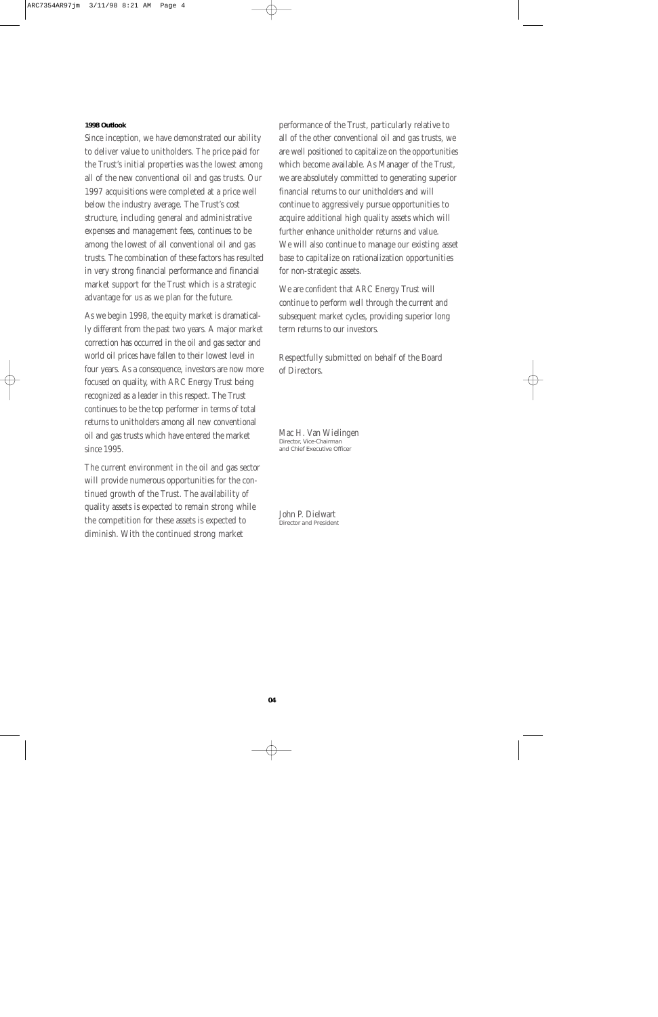#### **1998 Outlook**

Since inception, we have demonstrated our ability to deliver value to unitholders. The price paid for the Trust's initial properties was the lowest among all of the new conventional oil and gas trusts. Our 1997 acquisitions were completed at a price well below the industry average. The Trust's cost structure, including general and administrative expenses and management fees, continues to be among the lowest of all conventional oil and gas trusts. The combination of these factors has resulted in very strong financial performance and financial market support for the Trust which is a strategic advantage for us as we plan for the future.

As we begin 1998, the equity market is dramatically different from the past two years. A major market correction has occurred in the oil and gas sector and world oil prices have fallen to their lowest level in four years. As a consequence, investors are now more focused on quality, with ARC Energy Trust being recognized as a leader in this respect. The Trust continues to be the top performer in terms of total returns to unitholders among all new conventional oil and gas trusts which have entered the market since 1995.

The current environment in the oil and gas sector will provide numerous opportunities for the continued growth of the Trust. The availability of quality assets is expected to remain strong while the competition for these assets is expected to diminish. With the continued strong market

performance of the Trust, particularly relative to all of the other conventional oil and gas trusts, we are well positioned to capitalize on the opportunities which become available. As Manager of the Trust, we are absolutely committed to generating superior financial returns to our unitholders and will continue to aggressively pursue opportunities to acquire additional high quality assets which will further enhance unitholder returns and value. We will also continue to manage our existing asset base to capitalize on rationalization opportunities for non-strategic assets.

We are confident that ARC Energy Trust will continue to perform well through the current and subsequent market cycles, providing superior long term returns to our investors.

Respectfully submitted on behalf of the Board of Directors.

Mac H. Van Wielingen Director, Vice-Chairman and Chief Executive Officer

John P. Dielwart Director and President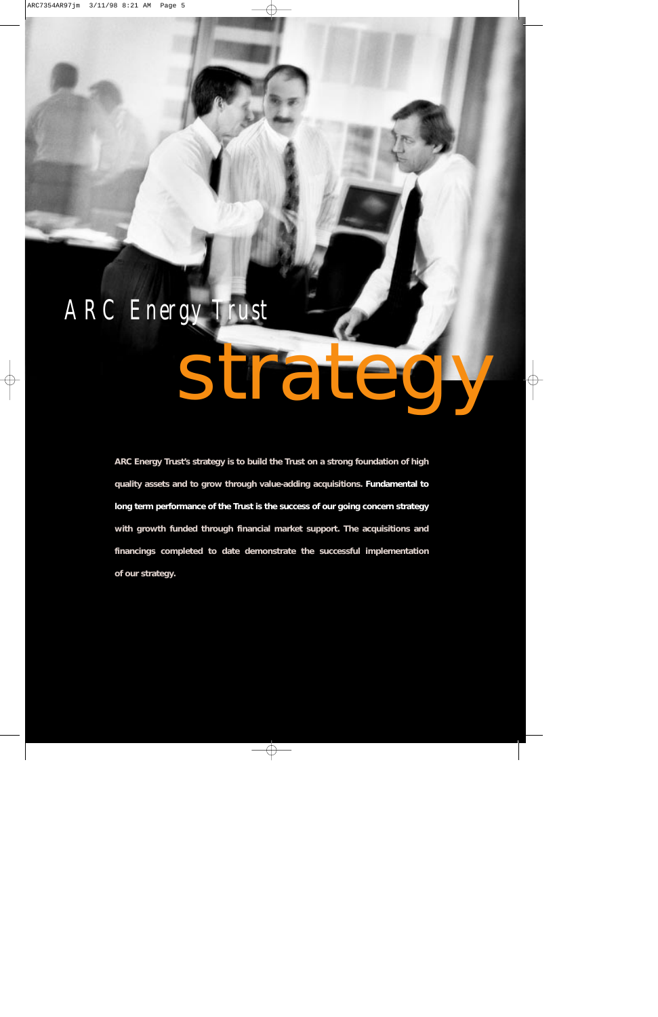## *ARC Energy Trust*

# strategy

**ARC Energy Trust's strategy is to build the Trust on a strong foundation of high quality assets and to grow through value-adding acquisitions. Fundamental to long term performance of the Trust is the success of our going concern strategy with growth funded through financial market support. The acquisitions and financings completed to date demonstrate the successful implementation of our strategy.**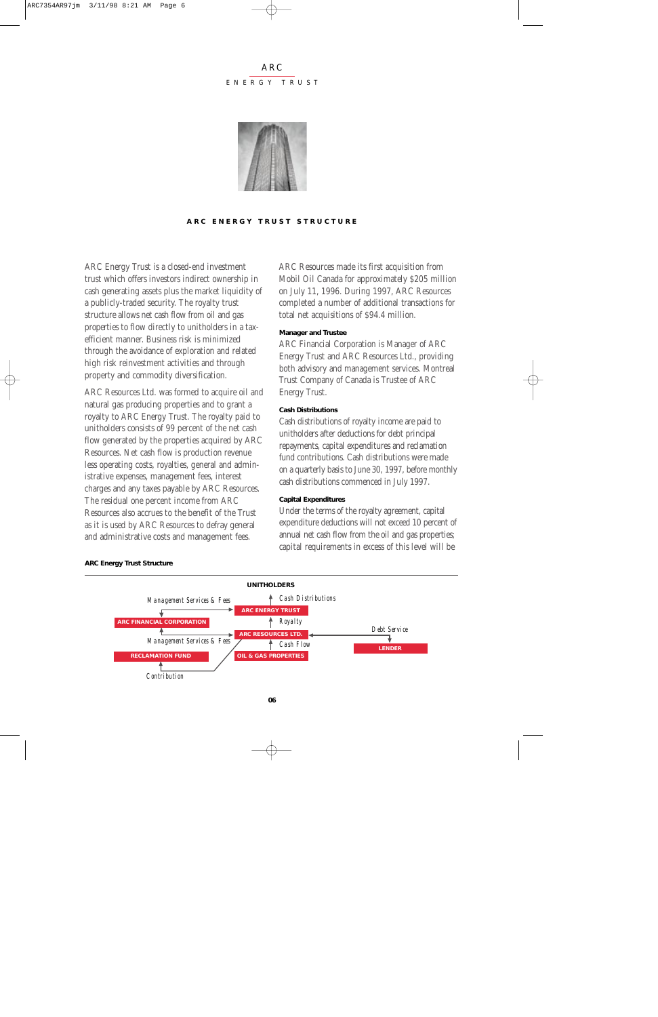#### ARC ENERGY TRUST



**ARC ENERGY TRUST STRUCTURE**

ARC Energy Trust is a closed-end investment trust which offers investors indirect ownership in cash generating assets plus the market liquidity of a publicly-traded security. The royalty trust structure allows net cash flow from oil and gas properties to flow directly to unitholders in a taxefficient manner. Business risk is minimized through the avoidance of exploration and related high risk reinvestment activities and through property and commodity diversification.

ARC Resources Ltd. was formed to acquire oil and natural gas producing properties and to grant a royalty to ARC Energy Trust. The royalty paid to unitholders consists of 99 percent of the net cash flow generated by the properties acquired by ARC Resources. Net cash flow is production revenue less operating costs, royalties, general and administrative expenses, management fees, interest charges and any taxes payable by ARC Resources. The residual one percent income from ARC Resources also accrues to the benefit of the Trust as it is used by ARC Resources to defray general and administrative costs and management fees.

ARC Resources made its first acquisition from Mobil Oil Canada for approximately \$205 million on July 11, 1996. During 1997, ARC Resources completed a number of additional transactions for total net acquisitions of \$94.4 million.

#### **Manager and Trustee**

ARC Financial Corporation is Manager of ARC Energy Trust and ARC Resources Ltd., providing both advisory and management services. Montreal Trust Company of Canada is Trustee of ARC Energy Trust.

#### **Cash Distributions**

Cash distributions of royalty income are paid to unitholders after deductions for debt principal repayments, capital expenditures and reclamation fund contributions. Cash distributions were made on a quarterly basis to June 30, 1997, before monthly cash distributions commenced in July 1997.

#### **Capital Expenditures**

Under the terms of the royalty agreement, capital expenditure deductions will not exceed 10 percent of annual net cash flow from the oil and gas properties; capital requirements in excess of this level will be



#### **ARC Energy Trust Structure**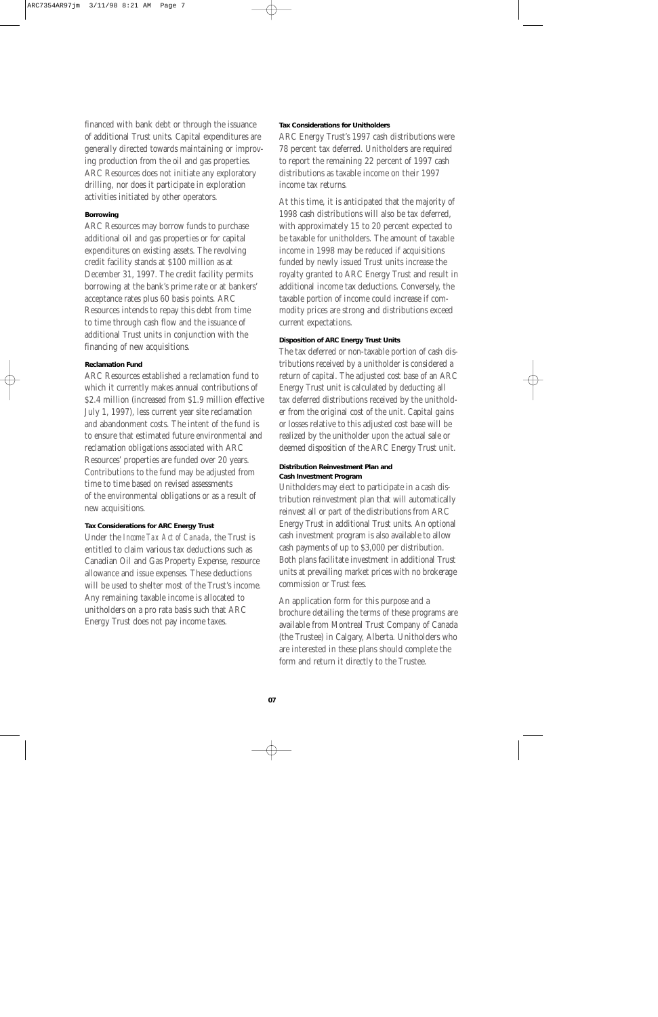financed with bank debt or through the issuance of additional Trust units. Capital expenditures are generally directed towards maintaining or improving production from the oil and gas properties. ARC Resources does not initiate any exploratory drilling, nor does it participate in exploration activities initiated by other operators.

#### **Borrowing**

ARC Resources may borrow funds to purchase additional oil and gas properties or for capital expenditures on existing assets. The revolving credit facility stands at \$100 million as at December 31, 1997. The credit facility permits borrowing at the bank's prime rate or at bankers' acceptance rates plus 60 basis points. ARC Resources intends to repay this debt from time to time through cash flow and the issuance of additional Trust units in conjunction with the financing of new acquisitions.

#### **Reclamation Fund**

ARC Resources established a reclamation fund to which it currently makes annual contributions of \$2.4 million (increased from \$1.9 million effective July 1, 1997), less current year site reclamation and abandonment costs. The intent of the fund is to ensure that estimated future environmental and reclamation obligations associated with ARC Resources' properties are funded over 20 years. Contributions to the fund may be adjusted from time to time based on revised assessments of the environmental obligations or as a result of new acquisitions.

#### **Tax Considerations for ARC Energy Trust**

Under the *Income Tax Act of Canada,* the Trust is entitled to claim various tax deductions such as Canadian Oil and Gas Property Expense, resource allowance and issue expenses. These deductions will be used to shelter most of the Trust's income. Any remaining taxable income is allocated to unitholders on a pro rata basis such that ARC Energy Trust does not pay income taxes.

#### **Tax Considerations for Unitholders**

ARC Energy Trust's 1997 cash distributions were 78 percent tax deferred. Unitholders are required to report the remaining 22 percent of 1997 cash distributions as taxable income on their 1997 income tax returns.

At this time, it is anticipated that the majority of 1998 cash distributions will also be tax deferred, with approximately 15 to 20 percent expected to be taxable for unitholders. The amount of taxable income in 1998 may be reduced if acquisitions funded by newly issued Trust units increase the royalty granted to ARC Energy Trust and result in additional income tax deductions. Conversely, the taxable portion of income could increase if commodity prices are strong and distributions exceed current expectations.

#### **Disposition of ARC Energy Trust Units**

The tax deferred or non-taxable portion of cash distributions received by a unitholder is considered a return of capital. The adjusted cost base of an ARC Energy Trust unit is calculated by deducting all tax deferred distributions received by the unitholder from the original cost of the unit. Capital gains or losses relative to this adjusted cost base will be realized by the unitholder upon the actual sale or deemed disposition of the ARC Energy Trust unit.

#### **Distribution Reinvestment Plan and Cash Investment Program**

Unitholders may elect to participate in a cash distribution reinvestment plan that will automatically reinvest all or part of the distributions from ARC Energy Trust in additional Trust units. An optional cash investment program is also available to allow cash payments of up to \$3,000 per distribution. Both plans facilitate investment in additional Trust units at prevailing market prices with no brokerage commission or Trust fees.

An application form for this purpose and a brochure detailing the terms of these programs are available from Montreal Trust Company of Canada (the Trustee) in Calgary, Alberta. Unitholders who are interested in these plans should complete the form and return it directly to the Trustee.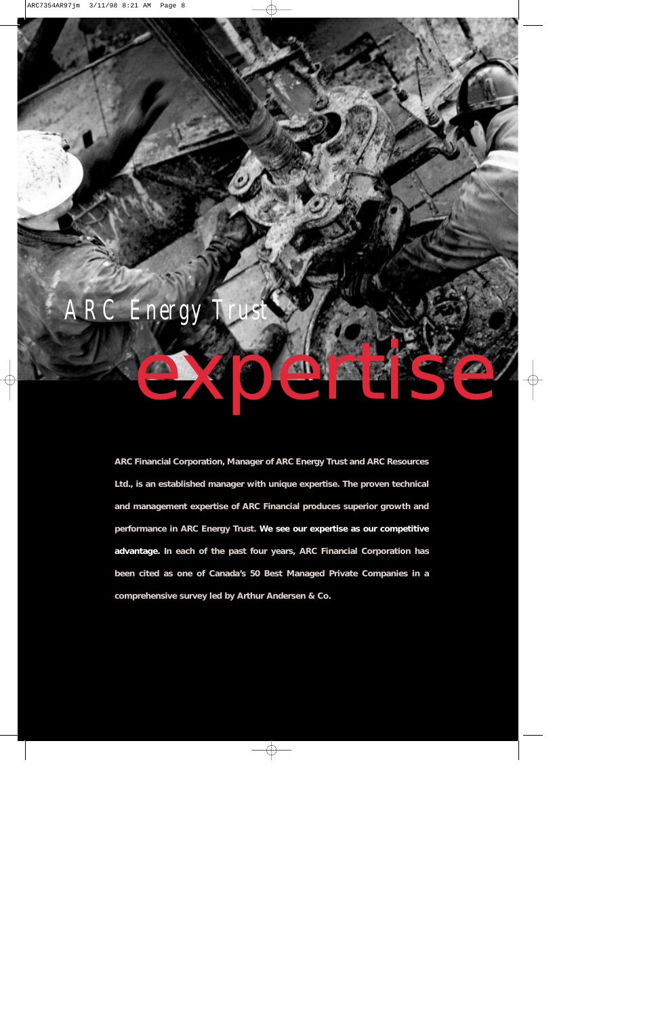

**ARC Financial Corporation, Manager of ARC Energy Trust and ARC Resources Ltd., is an established manager with unique expertise. The proven technical and management expertise of ARC Financial produces superior growth and performance in ARC Energy Trust. We see our expertise as our competitive advantage. In each of the past four years, ARC Financial Corporation has been cited as one of Canada's 50 Best Managed Private Companies in a comprehensive survey led by Arthur Andersen & Co.**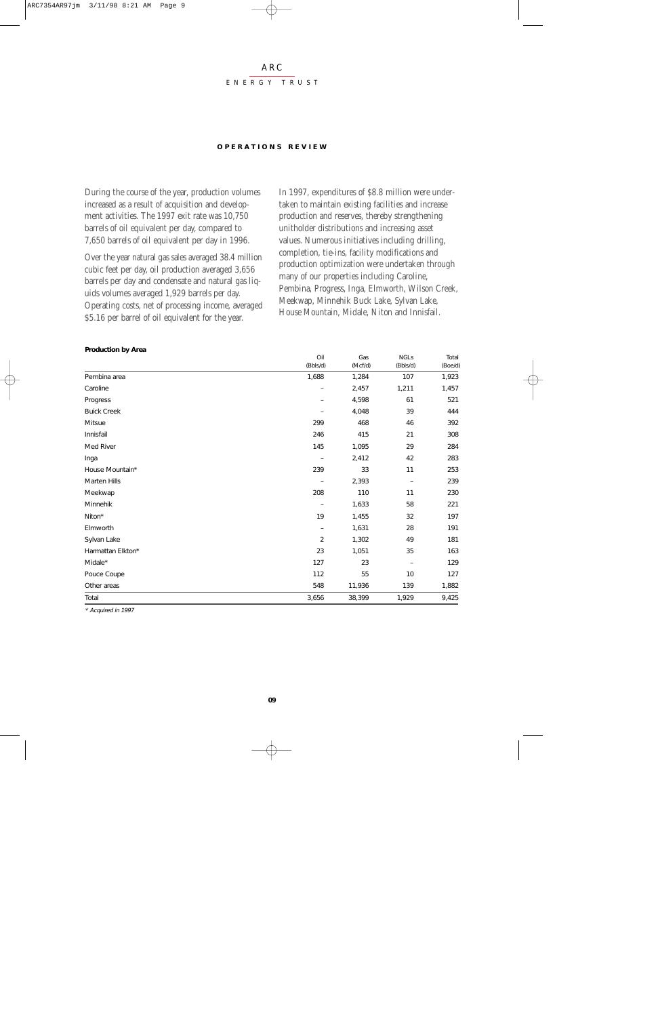#### ARC ENERGY TRUST

#### **OPERA TIONS REVIEW**

During the course of the year, production volumes increased as a result of acquisition and development activities. The 1997 exit rate was 10,750 barrels of oil equivalent per day, compared to 7,650 barrels of oil equivalent per day in 1996.

Over the year natural gas sales averaged 38.4 million cubic feet per day, oil production averaged 3,656 barrels per day and condensate and natural gas liquids volumes averaged 1,929 barrels per day. Operating costs, net of processing income, averaged \$5.16 per barrel of oil equivalent for the year.

In 1997, expenditures of \$8.8 million were undertaken to maintain existing facilities and increase production and reserves, thereby strengthening unitholder distributions and increasing asset values. Numerous initiatives including drilling, completion, tie-ins, facility modifications and production optimization were undertaken through many of our properties including Caroline, Pembina, Progress, Inga, Elmworth, Wilson Creek, Meekwap, Minnehik Buck Lake, Sylvan Lake, House Mountain, Midale, Niton and Innisfail.

|                    | Oil<br>(Bbls/d)   | Gas<br>(Mcf/d) | <b>NGLs</b><br>(Bbls/d) | Total<br>(Boe/d) |
|--------------------|-------------------|----------------|-------------------------|------------------|
| Pembina area       | 1,688             | 1,284          | 107                     | 1,923            |
| Caroline           |                   | 2,457          | 1,211                   | 1,457            |
| Progress           |                   | 4,598          | 61                      | 521              |
| <b>Buick Creek</b> |                   | 4,048          | 39                      | 444              |
| Mitsue             | 299               | 468            | 46                      | 392              |
| Innisfail          | 246               | 415            | 21                      | 308              |
| Med River          | 145               | 1,095          | 29                      | 284              |
| Inga               |                   | 2,412          | 42                      | 283              |
| House Mountain*    | 239               | 33             | 11                      | 253              |
| Marten Hills       |                   | 2,393          |                         | 239              |
| Meekwap            | 208               | 110            | 11                      | 230              |
| Minnehik           |                   | 1,633          | 58                      | 221              |
| Niton*             | 19                | 1,455          | 32                      | 197              |
| Elmworth           | $\qquad \qquad -$ | 1,631          | 28                      | 191              |
| Sylvan Lake        | 2                 | 1,302          | 49                      | 181              |
| Harmattan Elkton*  | 23                | 1,051          | 35                      | 163              |
| Midale*            | 127               | 23             |                         | 129              |
| Pouce Coupe        | 112               | 55             | 10                      | 127              |
| Other areas        | 548               | 11,936         | 139                     | 1,882            |
| Total              | 3,656             | 38,399         | 1,929                   | 9,425            |

#### **Production by Area**

\* Acquired in 1997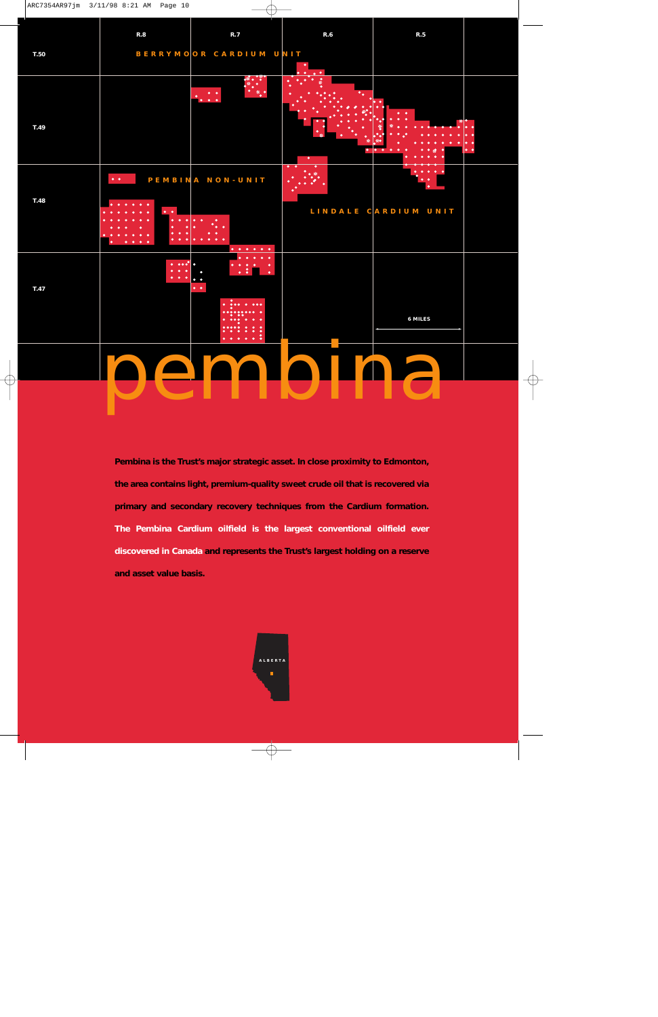|      | R.8                          | R.7                                                                                | R.6                               | $\mathsf{R}.\mathsf{5}$ |
|------|------------------------------|------------------------------------------------------------------------------------|-----------------------------------|-------------------------|
| T.50 |                              | BERRYMOOR CARDIUM UNIT                                                             | ٠<br>$\bullet$                    |                         |
| T.49 |                              | $\cdot$                                                                            | $\bullet$<br>$\overline{\bullet}$ |                         |
| T.48 | $\bullet$ . $\bullet$ .<br>٠ | PEMBINA NON-UNIT                                                                   | $\bullet\quad \bullet$<br>♦       | LINDALE CARDIUM UNIT    |
|      | $\bullet$                    | $\bullet$<br>$\begin{array}{cccccccccccccc} 0 & 0 & 0 & 0 & 0 & 0 & 0 \end{array}$ |                                   |                         |
| T.47 | $\bullet$                    | $\bullet\quad\bullet$<br>$\bullet$                                                 |                                   |                         |
|      |                              | • • •<br>٠<br>$\bullet$<br>٠                                                       |                                   | 6 MILES                 |
|      |                              |                                                                                    |                                   |                         |
|      |                              |                                                                                    |                                   |                         |

**Pembina is the Trust's major strategic asset. In close proximity to Edmonton, the area contains light, premium-quality sweet crude oil that is recovered via primary and secondary recovery techniques from the Cardium formation. The Pembina Cardium oilfield is the largest conventional oilfield ever discovered in Canada and represents the Trust's largest holding on a reserve and asset value basis.** 

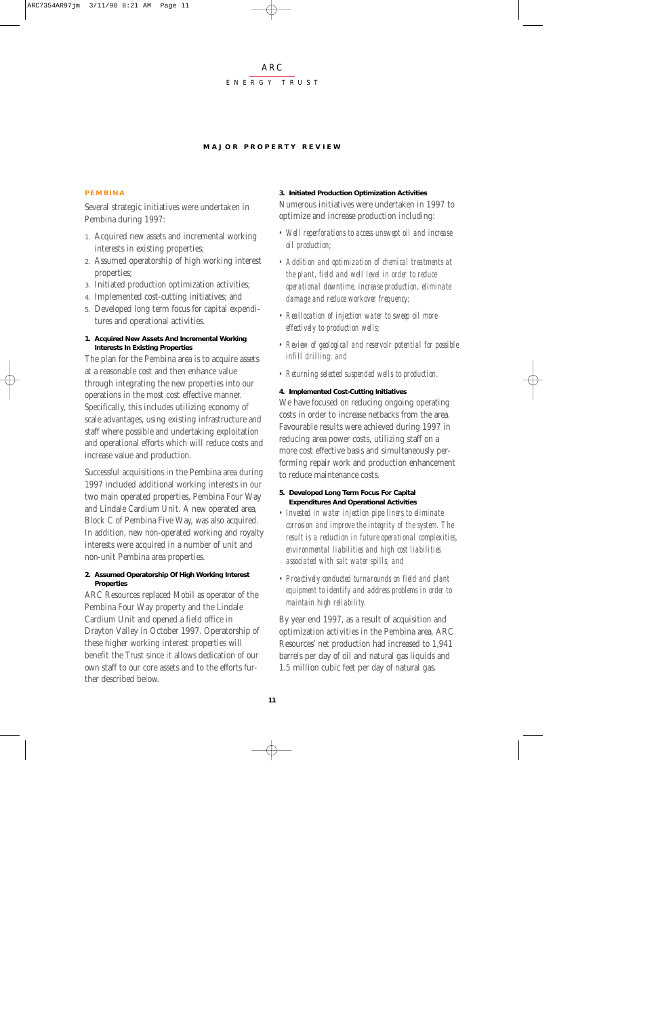#### ENERGY TRUST

#### **MAJOR PROPERTY REVIEW**

#### **PEMBINA**

Several strategic initiatives were undertaken in Pembina during 1997:

- 1. Acquired new assets and incremental working interests in existing properties;
- 2. Assumed operatorship of high working interest properties;
- 3. Initiated production optimization activities;
- 4. Implemented cost-cutting initiatives; and
- 5. Developed long term focus for capital expenditures and operational activities.

#### **1. Acquired New Assets And Incremental Working Interests In Existing Properties**

The plan for the Pembina area is to acquire assets at a reasonable cost and then enhance value through integrating the new properties into our operations in the most cost effective manner. Specifically, this includes utilizing economy of scale advantages, using existing infrastructure and staff where possible and undertaking exploitation and operational efforts which will reduce costs and increase value and production.

Successful acquisitions in the Pembina area during 1997 included additional working interests in our two main operated properties, Pembina Four Way and Lindale Cardium Unit. A new operated area, Block C of Pembina Five Way, was also acquired. In addition, new non-operated working and royalty interests were acquired in a number of unit and non-unit Pembina area properties.

#### **2. Assumed Operatorship Of High Working Interest Properties**

ARC Resources replaced Mobil as operator of the Pembina Four Way property and the Lindale Cardium Unit and opened a field office in Drayton Valley in October 1997. Operatorship of these higher working interest properties will benefit the Trust since it allows dedication of our own staff to our core assets and to the efforts further described below.

#### **3. Initiated Production Optimization Activities**

Numerous initiatives were undertaken in 1997 to optimize and increase production including:

- *Well reperforations to access unswept oil and increase oil production;*
- *Addition and optimization of chemical treatments at the plant, field and well level in order to reduce operational downtime, increase production, eliminate damage and reduce workover frequency;*
- *Reallocation of injection water to sweep oil more effectively to production wells;*
- *Review of geological and reservoir potential for possible infill drilling; and*
- *Returning selected suspended wells to production.*

#### **4. Implemented Cost-Cutting Initiatives**

We have focused on reducing ongoing operating costs in order to increase netbacks from the area. Favourable results were achieved during 1997 in reducing area power costs, utilizing staff on a more cost effective basis and simultaneously performing repair work and production enhancement to reduce maintenance costs.

#### **5. Developed Long Term Focus For Capital Expenditures And Operational Activities**

- *Invested in water injection pipe liners to eliminate corrosion and improve the integrity of the system. The result is a reduction in future operational complexities, environmental liabilities and high cost liabilities associated with salt water spills; and*
- *Proactively conducted turnarounds on field and plant equipment to identify and address problems in order to maintain high reliability.*

By year end 1997, as a result of acquisition and optimization activities in the Pembina area, ARC Resources' net production had increased to 1,941 barrels per day of oil and natural gas liquids and 1.5 million cubic feet per day of natural gas.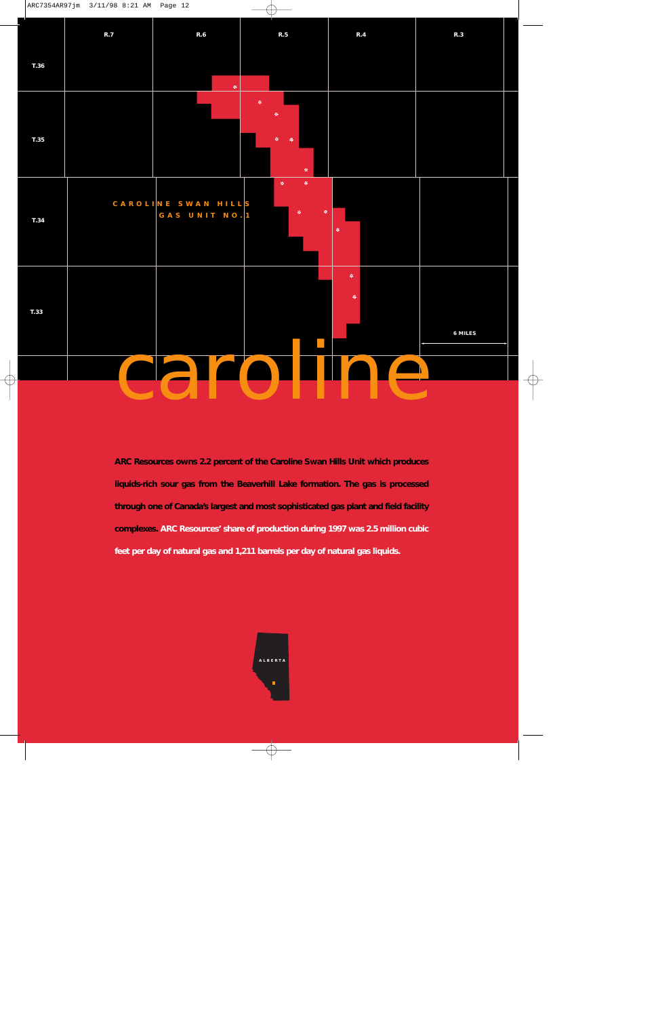

**ARC Resources owns 2.2 percent of the Caroline Swan Hills Unit which produces liquids-rich sour gas from the Beaverhill Lake formation. The gas is processed through one of Canada's largest and most sophisticated gas plant and field facility complexes. ARC Resources' share of production during 1997 was 2.5 million cubic feet per day of natural gas and 1,211 barrels per day of natural gas liquids.** 

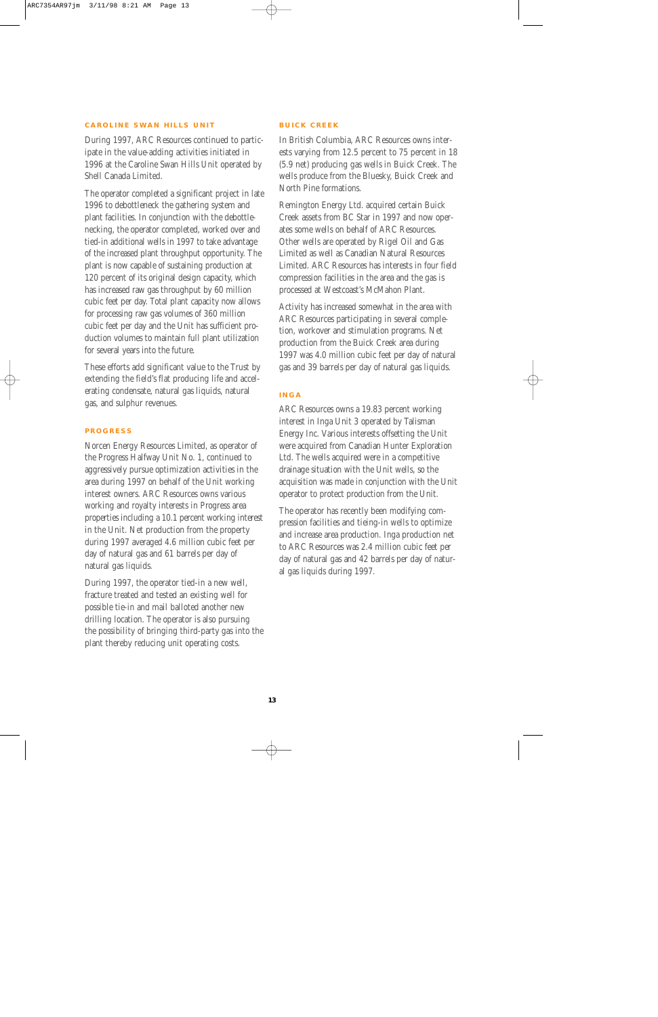#### **CAROLINE SWAN HILLS UNIT**

During 1997, ARC Resources continued to participate in the value-adding activities initiated in 1996 at the Caroline Swan Hills Unit operated by Shell Canada Limited.

The operator completed a significant project in late 1996 to debottleneck the gathering system and plant facilities. In conjunction with the debottlenecking, the operator completed, worked over and tied-in additional wells in 1997 to take advantage of the increased plant throughput opportunity. The plant is now capable of sustaining production at 120 percent of its original design capacity, which has increased raw gas throughput by 60 million cubic feet per day. Total plant capacity now allows for processing raw gas volumes of 360 million cubic feet per day and the Unit has sufficient production volumes to maintain full plant utilization for several years into the future.

These efforts add significant value to the Trust by extending the field's flat producing life and accelerating condensate, natural gas liquids, natural gas, and sulphur revenues.

#### **PROGRESS**

Norcen Energy Resources Limited, as operator of the Progress Halfway Unit No. 1, continued to aggressively pursue optimization activities in the area during 1997 on behalf of the Unit working interest owners. ARC Resources owns various working and royalty interests in Progress area properties including a 10.1 percent working interest in the Unit. Net production from the property during 1997 averaged 4.6 million cubic feet per day of natural gas and 61 barrels per day of natural gas liquids.

During 1997, the operator tied-in a new well, fracture treated and tested an existing well for possible tie-in and mail balloted another new drilling location. The operator is also pursuing the possibility of bringing third-party gas into the plant thereby reducing unit operating costs.

#### **BUICK CREEK**

In British Columbia, ARC Resources owns interests varying from 12.5 percent to 75 percent in 18 (5.9 net) producing gas wells in Buick Creek. The wells produce from the Bluesky, Buick Creek and North Pine formations.

Remington Energy Ltd. acquired certain Buick Creek assets from BC Star in 1997 and now operates some wells on behalf of ARC Resources. Other wells are operated by Rigel Oil and Gas Limited as well as Canadian Natural Resources Limited. ARC Resources has interests in four field compression facilities in the area and the gas is processed at Westcoast's McMahon Plant.

Activity has increased somewhat in the area with ARC Resources participating in several completion, workover and stimulation programs. Net production from the Buick Creek area during 1997 was 4.0 million cubic feet per day of natural gas and 39 barrels per day of natural gas liquids.

#### **INGA**

ARC Resources owns a 19.83 percent working interest in Inga Unit 3 operated by Talisman Energy Inc. Various interests offsetting the Unit were acquired from Canadian Hunter Exploration Ltd. The wells acquired were in a competitive drainage situation with the Unit wells, so the acquisition was made in conjunction with the Unit operator to protect production from the Unit.

The operator has recently been modifying compression facilities and tieing-in wells to optimize and increase area production. Inga production net to ARC Resources was 2.4 million cubic feet per day of natural gas and 42 barrels per day of natural gas liquids during 1997.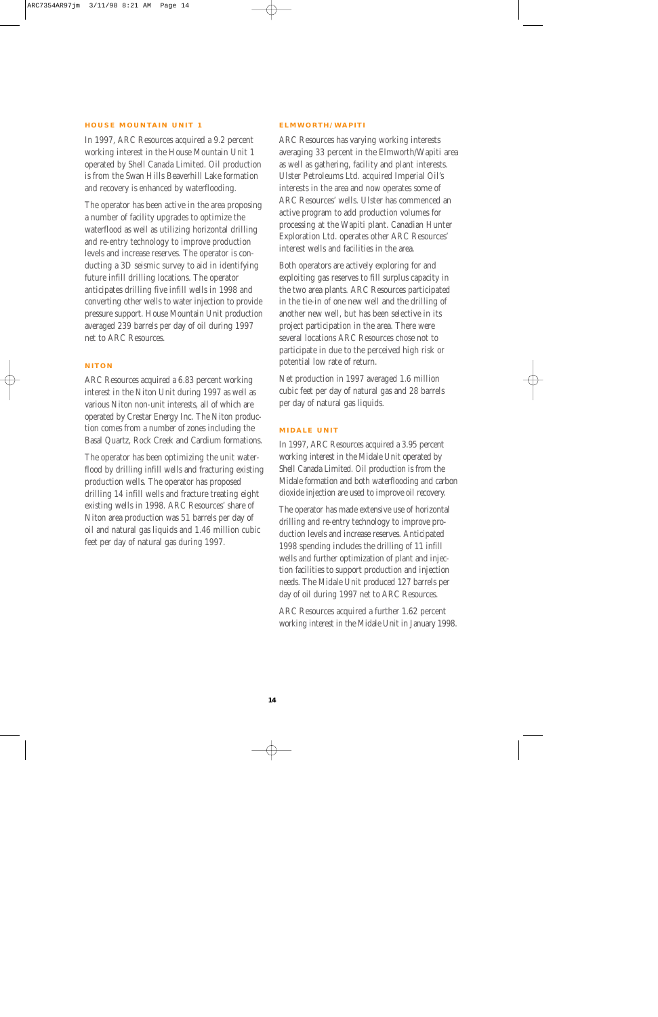#### **HOUSE MOUNTAIN UNIT 1**

In 1997, ARC Resources acquired a 9.2 percent working interest in the House Mountain Unit 1 operated by Shell Canada Limited. Oil production is from the Swan Hills Beaverhill Lake formation and recovery is enhanced by waterflooding.

The operator has been active in the area proposing a number of facility upgrades to optimize the waterflood as well as utilizing horizontal drilling and re-entry technology to improve production levels and increase reserves. The operator is conducting a 3D seismic survey to aid in identifying future infill drilling locations. The operator anticipates drilling five infill wells in 1998 and converting other wells to water injection to provide pressure support. House Mountain Unit production averaged 239 barrels per day of oil during 1997 net to ARC Resources.

#### **NITON**

ARC Resources acquired a 6.83 percent working interest in the Niton Unit during 1997 as well as various Niton non-unit interests, all of which are operated by Crestar Energy Inc. The Niton production comes from a number of zones including the Basal Quartz, Rock Creek and Cardium formations.

The operator has been optimizing the unit waterflood by drilling infill wells and fracturing existing production wells. The operator has proposed drilling 14 infill wells and fracture treating eight existing wells in 1998. ARC Resources' share of Niton area production was 51 barrels per day of oil and natural gas liquids and 1.46 million cubic feet per day of natural gas during 1997.

#### **ELMWORTH/WAPITI**

ARC Resources has varying working interests averaging 33 percent in the Elmworth/Wapiti area as well as gathering, facility and plant interests. Ulster Petroleums Ltd. acquired Imperial Oil's interests in the area and now operates some of ARC Resources' wells. Ulster has commenced an active program to add production volumes for processing at the Wapiti plant. Canadian Hunter Exploration Ltd. operates other ARC Resources' interest wells and facilities in the area.

Both operators are actively exploring for and exploiting gas reserves to fill surplus capacity in the two area plants. ARC Resources participated in the tie-in of one new well and the drilling of another new well, but has been selective in its project participation in the area. There were several locations ARC Resources chose not to participate in due to the perceived high risk or potential low rate of return.

Net production in 1997 averaged 1.6 million cubic feet per day of natural gas and 28 barrels per day of natural gas liquids.

#### **MIDALE UNIT**

In 1997, ARC Resources acquired a 3.95 percent working interest in the Midale Unit operated by Shell Canada Limited. Oil production is from the Midale formation and both waterflooding and carbon dioxide injection are used to improve oil recovery.

The operator has made extensive use of horizontal drilling and re-entry technology to improve production levels and increase reserves. Anticipated 1998 spending includes the drilling of 11 infill wells and further optimization of plant and injection facilities to support production and injection needs. The Midale Unit produced 127 barrels per day of oil during 1997 net to ARC Resources.

ARC Resources acquired a further 1.62 percent working interest in the Midale Unit in January 1998.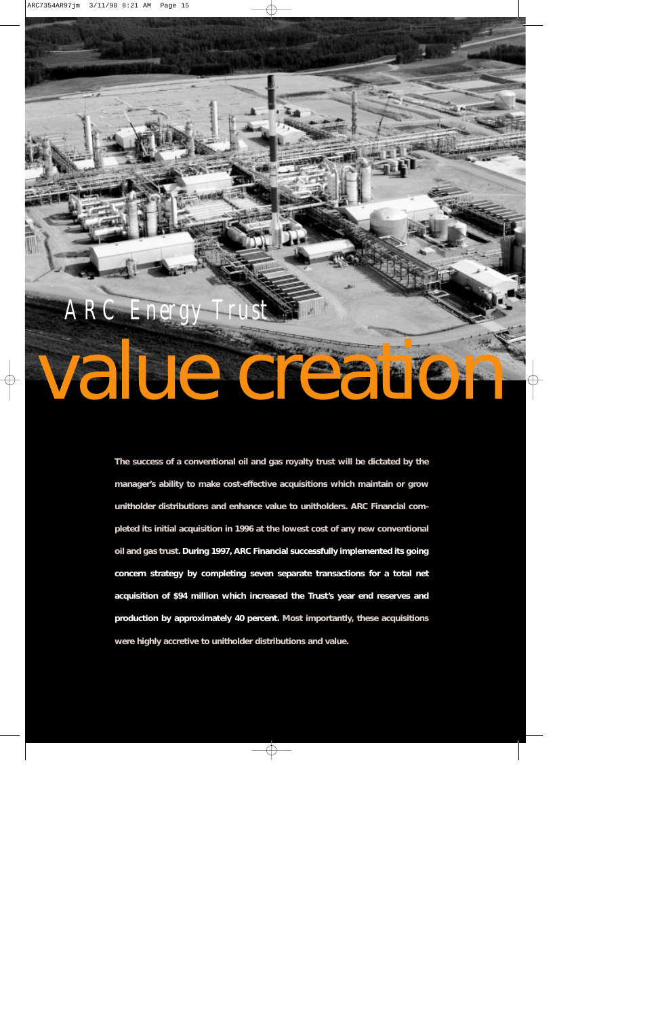# value creation *ARC Energy*

**The success of a conventional oil and gas royalty trust will be dictated by the manager's ability to make cost-effective acquisitions which maintain or grow unitholder distributions and enhance value to unitholders. ARC Financial completed its initial acquisition in 1996 at the lowest cost of any new conventional oil and gas trust. During 1997, ARC Financial successfully implemented its going concern strategy by completing seven separate transactions for a total net acquisition of \$94 million which increased the Trust's year end reserves and production by approximately 40 percent. Most importantly, these acquisitions were highly accretive to unitholder distributions and value.**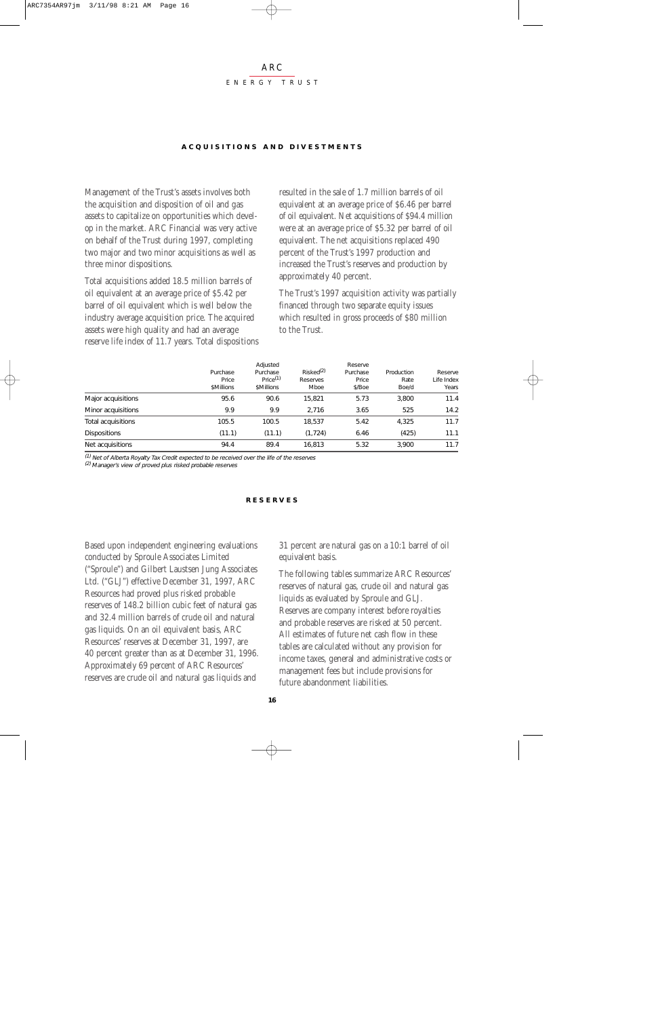#### ARC ENERGY TRUST

#### **ACQUISITIONS AND DIVESTMENTS**

Management of the Trust's assets involves both the acquisition and disposition of oil and gas assets to capitalize on opportunities which develop in the market. ARC Financial was very active on behalf of the Trust during 1997, completing two major and two minor acquisitions as well as three minor dispositions.

Total acquisitions added 18.5 million barrels of oil equivalent at an average price of \$5.42 per barrel of oil equivalent which is well below the industry average acquisition price. The acquired assets were high quality and had an average reserve life index of 11.7 years. Total dispositions resulted in the sale of 1.7 million barrels of oil equivalent at an average price of \$6.46 per barrel of oil equivalent. Net acquisitions of \$94.4 million were at an average price of \$5.32 per barrel of oil equivalent. The net acquisitions replaced 490 percent of the Trust's 1997 production and increased the Trust's reserves and production by approximately 40 percent.

The Trust's 1997 acquisition activity was partially financed through two separate equity issues which resulted in gross proceeds of \$80 million to the Trust.

|                     |            | Adjusted             |                       | Reserve  |            |            |
|---------------------|------------|----------------------|-----------------------|----------|------------|------------|
|                     | Purchase   | Purchase             | Risked <sup>(2)</sup> | Purchase | Production | Reserve    |
|                     | Price      | Price <sup>(1)</sup> | Reserves              | Price    | Rate       | Life Index |
|                     | \$Millions | \$Millions           | Mboe                  | \$/Boe   | Boe/d      | Years      |
| Major acquisitions  | 95.6       | 90.6                 | 15.821                | 5.73     | 3.800      | 11.4       |
| Minor acquisitions  | 9.9        | 9.9                  | 2.716                 | 3.65     | 525        | 14.2       |
| Total acquisitions  | 105.5      | 100.5                | 18.537                | 5.42     | 4,325      | 11.7       |
| <b>Dispositions</b> | (11.1)     | (11.1)               | (1, 724)              | 6.46     | (425)      | 11.1       |
| Net acquisitions    | 94.4       | 89.4                 | 16.813                | 5.32     | 3.900      | 11.7       |

(1) Net of Alberta Royalty Tax Credit expected to be received over the life of the reserves

(2) Manager's view of proved plus risked probable reserves

#### **RESERVES**

Based upon independent engineering evaluations conducted by Sproule Associates Limited ("Sproule") and Gilbert Laustsen Jung Associates Ltd. ("GLJ") effective December 31, 1997, ARC Resources had proved plus risked probable reserves of 148.2 billion cubic feet of natural gas and 32.4 million barrels of crude oil and natural gas liquids. On an oil equivalent basis, ARC Resources' reserves at December 31, 1997, are 40 percent greater than as at December 31, 1996. Approximately 69 percent of ARC Resources' reserves are crude oil and natural gas liquids and

31 percent are natural gas on a 10:1 barrel of oil equivalent basis.

The following tables summarize ARC Resources' reserves of natural gas, crude oil and natural gas liquids as evaluated by Sproule and GLJ. Reserves are company interest before royalties and probable reserves are risked at 50 percent. All estimates of future net cash flow in these tables are calculated without any provision for income taxes, general and administrative costs or management fees but include provisions for future abandonment liabilities.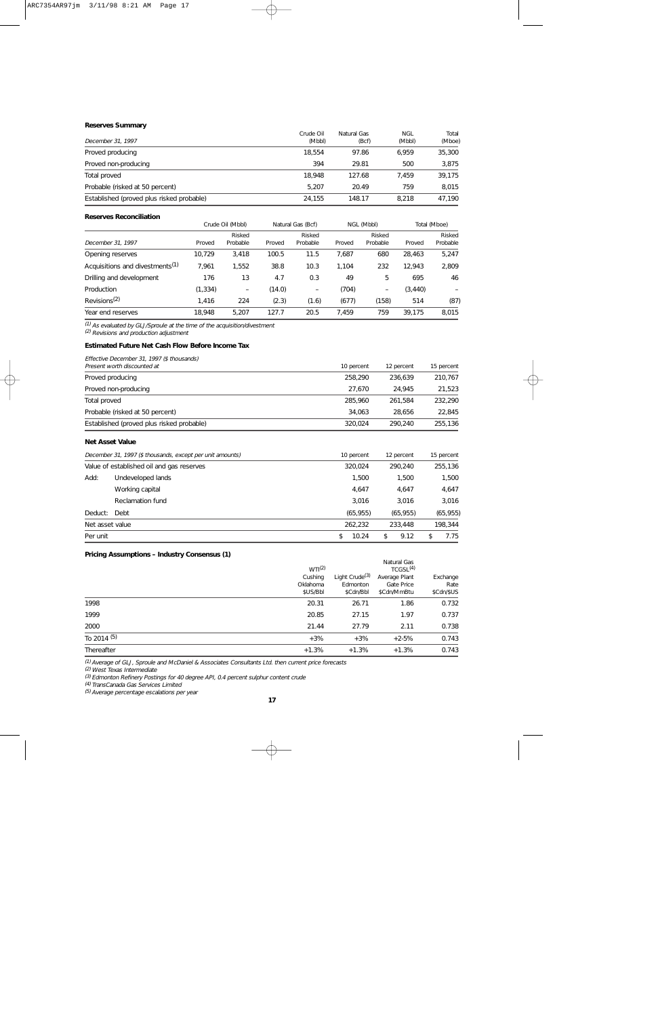| <b>Reserves Summary</b>                   |           |             |        |        |
|-------------------------------------------|-----------|-------------|--------|--------|
|                                           | Crude Oil | Natural Gas | NGL    | Total  |
| December 31, 1997                         | (Mbbl)    | (Bcf)       | (Mbbl) | (Mboe) |
| Proved producing                          | 18.554    | 97.86       | 6.959  | 35,300 |
| Proved non-producing                      | 394       | 29.81       | 500    | 3,875  |
| Total proved                              | 18.948    | 127.68      | 7.459  | 39.175 |
| Probable (risked at 50 percent)           | 5.207     | 20.49       | 759    | 8,015  |
| Established (proved plus risked probable) | 24.155    | 148.17      | 8.218  | 47.190 |

#### **Reserves Reconciliation**

|                                             |          | Crude Oil (Mbbl)         |        | Natural Gas (Bcf)        |        | NGL (Mbbl)         | Total (Mboe) |                    |
|---------------------------------------------|----------|--------------------------|--------|--------------------------|--------|--------------------|--------------|--------------------|
| December 31, 1997                           | Proved   | Risked<br>Probable       | Proved | Risked<br>Probable       | Proved | Risked<br>Probable | Proved       | Risked<br>Probable |
| Opening reserves                            | 10.729   | 3.418                    | 100.5  | 11.5                     | 7.687  | 680                | 28,463       | 5,247              |
| Acquisitions and divestments <sup>(1)</sup> | 7.961    | 1.552                    | 38.8   | 10.3                     | 1.104  | 232                | 12.943       | 2.809              |
| Drilling and development                    | 176      | 13                       | 4.7    | 0.3                      | 49     | 5                  | 695          | 46                 |
| Production                                  | (1, 334) | $\overline{\phantom{m}}$ | (14.0) | $\overline{\phantom{m}}$ | (704)  | -                  | (3, 440)     |                    |
| Revisions <sup>(2)</sup>                    | 1,416    | 224                      | (2.3)  | (1.6)                    | (677)  | (158)              | 514          | (87)               |
| Year end reserves                           | 18.948   | 5.207                    | 127.7  | 20.5                     | 7.459  | 759                | 39.175       | 8.015              |

(1) As evaluated by GLJ/Sproule at the time of the acquisition/divestment (2) Revisions and production adjustment

**Estimated Future Net Cash Flow Before Income Tax**

| Effective December 31, 1997 (\$ thousands) |  |
|--------------------------------------------|--|

| Present worth discounted at               | 10 percent | 12 percent | 15 percent |
|-------------------------------------------|------------|------------|------------|
| Proved producing                          | 258.290    | 236.639    | 210,767    |
| Proved non-producing                      | 27.670     | 24.945     | 21.523     |
| Total proved                              | 285,960    | 261.584    | 232.290    |
| Probable (risked at 50 percent)           | 34.063     | 28.656     | 22,845     |
| Established (proved plus risked probable) | 320.024    | 290.240    | 255,136    |

#### **Net Asset Value**

|                 | December 31, 1997 (\$ thousands, except per unit amounts) | 10 percent |         | 12 percent | 15 percent |
|-----------------|-----------------------------------------------------------|------------|---------|------------|------------|
|                 | Value of established oil and gas reserves                 |            | 320,024 | 290.240    | 255,136    |
| Add:            | Undeveloped lands                                         |            | 1.500   | 1.500      | 1,500      |
|                 | Working capital                                           |            | 4.647   | 4.647      | 4,647      |
|                 | Reclamation fund                                          |            | 3.016   | 3.016      | 3,016      |
| Deduct:         | Debt                                                      | (65, 955)  |         | (65, 955)  | (65, 955)  |
| Net asset value |                                                           | 262.232    |         | 233,448    | 198,344    |
| Per unit        |                                                           |            | 10.24   | \$<br>9.12 | 7.75       |

#### **Pricing Assumptions – Industry Consensus (1)**

|             | WT(2)                           |                                                     |                                            |                                |
|-------------|---------------------------------|-----------------------------------------------------|--------------------------------------------|--------------------------------|
|             | Cushing<br>Oklahoma<br>\$US/Bbl | Light Crude <sup>(3)</sup><br>Edmonton<br>\$Cdn/Bbl | Average Plant<br>Gate Price<br>\$Cdn/MmBtu | Exchange<br>Rate<br>\$Cdn/\$US |
| 1998        | 20.31                           | 26.71                                               | 1.86                                       | 0.732                          |
| 1999        | 20.85                           | 27.15                                               | 1.97                                       | 0.737                          |
| 2000        | 21.44                           | 27.79                                               | 2.11                                       | 0.738                          |
| To 2014 (5) | $+3\%$                          | $+3%$                                               | $+2.5%$                                    | 0.743                          |
| Thereafter  | $+1.3%$                         | $+1.3%$                                             | $+1.3%$                                    | 0.743                          |

(1) Average of GLJ, Sproule and McDaniel & Associates Consultants Ltd. then current price forecasts (2) West Texas Intermediate

<sup>(3)</sup> Edmonton Refinery Postings for 40 degree API, 0.4 percent sulphur content crude<br><sup>(4)</sup> TransCanada Gas Services Limited

(5) Average percentage escalations per year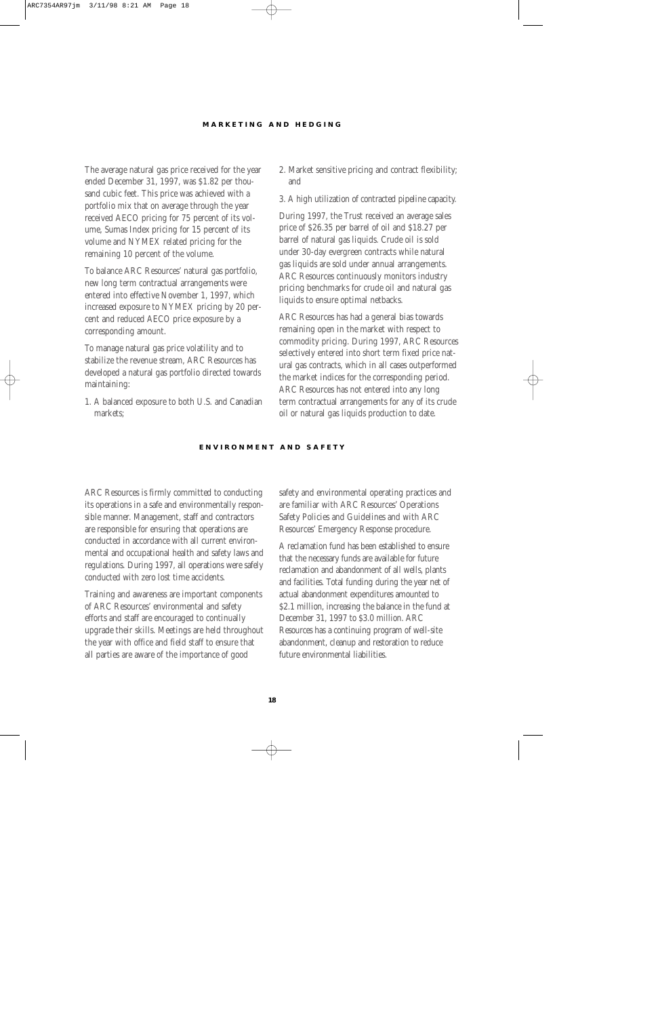#### **MARKETING AND HEDGING**

The average natural gas price received for the year ended December 31, 1997, was \$1.82 per thousand cubic feet. This price was achieved with a portfolio mix that on average through the year received AECO pricing for 75 percent of its volume, Sumas Index pricing for 15 percent of its volume and NYMEX related pricing for the remaining 10 percent of the volume.

To balance ARC Resources' natural gas portfolio, new long term contractual arrangements were entered into effective November 1, 1997, which increased exposure to NYMEX pricing by 20 percent and reduced AECO price exposure by a corresponding amount.

To manage natural gas price volatility and to stabilize the revenue stream, ARC Resources has developed a natural gas portfolio directed towards maintaining:

1. A balanced exposure to both U.S. and Canadian markets;

- 2. Market sensitive pricing and contract flexibility; and
- 3. A high utilization of contracted pipeline capacity.

During 1997, the Trust received an average sales price of \$26.35 per barrel of oil and \$18.27 per barrel of natural gas liquids. Crude oil is sold under 30-day evergreen contracts while natural gas liquids are sold under annual arrangements. ARC Resources continuously monitors industry pricing benchmarks for crude oil and natural gas liquids to ensure optimal netbacks.

ARC Resources has had a general bias towards remaining open in the market with respect to commodity pricing. During 1997, ARC Resources selectively entered into short term fixed price natural gas contracts, which in all cases outperformed the market indices for the corresponding period. ARC Resources has not entered into any long term contractual arrangements for any of its crude oil or natural gas liquids production to date.

#### **ENVIRONMENT AND SAFETY**

ARC Resources is firmly committed to conducting its operations in a safe and environmentally responsible manner. Management, staff and contractors are responsible for ensuring that operations are conducted in accordance with all current environmental and occupational health and safety laws and regulations. During 1997, all operations were safely conducted with zero lost time accidents.

Training and awareness are important components of ARC Resources' environmental and safety efforts and staff are encouraged to continually upgrade their skills. Meetings are held throughout the year with office and field staff to ensure that all parties are aware of the importance of good

safety and environmental operating practices and are familiar with ARC Resources' Operations Safety Policies and Guidelines and with ARC Resources' Emergency Response procedure.

A reclamation fund has been established to ensure that the necessary funds are available for future reclamation and abandonment of all wells, plants and facilities. Total funding during the year net of actual abandonment expenditures amounted to \$2.1 million, increasing the balance in the fund at December 31, 1997 to \$3.0 million. ARC Resources has a continuing program of well-site abandonment, cleanup and restoration to reduce future environmental liabilities.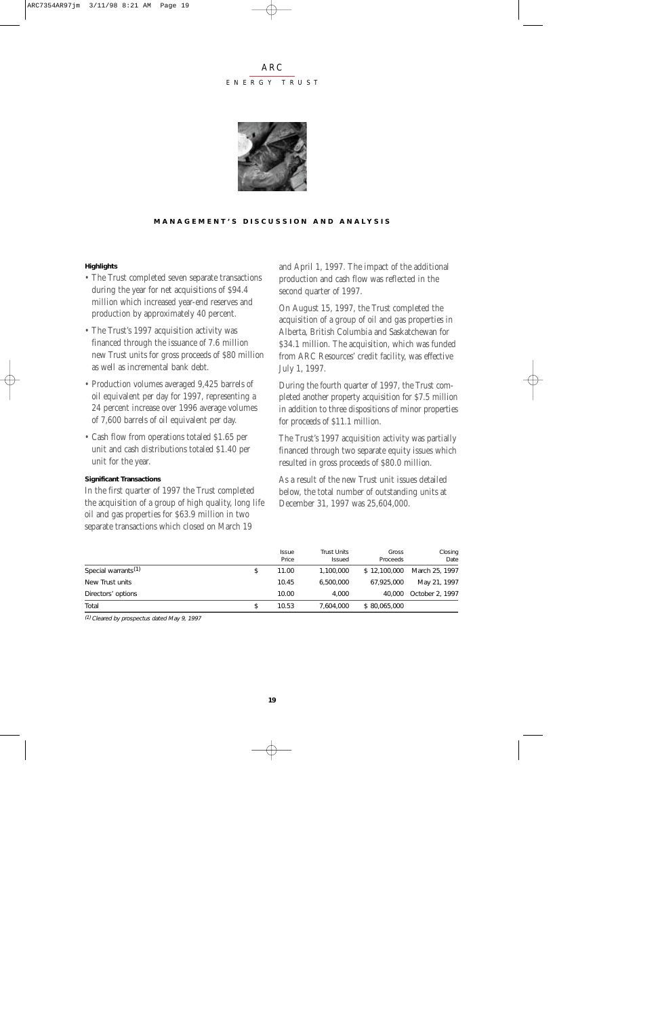#### ENERGY TRUST



#### **MANAGEMENT'S DISCUSSION AND ANALYSIS**

#### **Highlights**

- The Trust completed seven separate transactions during the year for net acquisitions of \$94.4 million which increased year-end reserves and production by approximately 40 percent.
- The Trust's 1997 acquisition activity was financed through the issuance of 7.6 million new Trust units for gross proceeds of \$80 million as well as incremental bank debt.
- Production volumes averaged 9,425 barrels of oil equivalent per day for 1997, representing a 24 percent increase over 1996 average volumes of 7,600 barrels of oil equivalent per day.
- Cash flow from operations totaled \$1.65 per unit and cash distributions totaled \$1.40 per unit for the year.

#### **Significant Transactions**

In the first quarter of 1997 the Trust completed the acquisition of a group of high quality, long life oil and gas properties for \$63.9 million in two separate transactions which closed on March 19

and April 1, 1997. The impact of the additional production and cash flow was reflected in the second quarter of 1997.

On August 15, 1997, the Trust completed the acquisition of a group of oil and gas properties in Alberta, British Columbia and Saskatchewan for \$34.1 million. The acquisition, which was funded from ARC Resources' credit facility, was effective July 1, 1997.

During the fourth quarter of 1997, the Trust completed another property acquisition for \$7.5 million in addition to three dispositions of minor properties for proceeds of \$11.1 million.

The Trust's 1997 acquisition activity was partially financed through two separate equity issues which resulted in gross proceeds of \$80.0 million.

As a result of the new Trust unit issues detailed below, the total number of outstanding units at December 31, 1997 was 25,604,000.

|                                 | <i>Issue</i><br>Price | <b>Trust Units</b><br>Issued | Gross<br>Proceeds | Closing<br>Date |
|---------------------------------|-----------------------|------------------------------|-------------------|-----------------|
| Special warrants <sup>(1)</sup> | 11.00                 | 1,100,000                    | \$12,100,000      | March 25, 1997  |
| New Trust units                 | 10.45                 | 6,500,000                    | 67,925,000        | May 21, 1997    |
| Directors' options              | 10.00                 | 4.000                        | 40,000            | October 2, 1997 |
| Total                           | \$<br>10.53           | 7.604.000                    | \$80,065,000      |                 |

(1) Cleared by prospectus dated May 9, 1997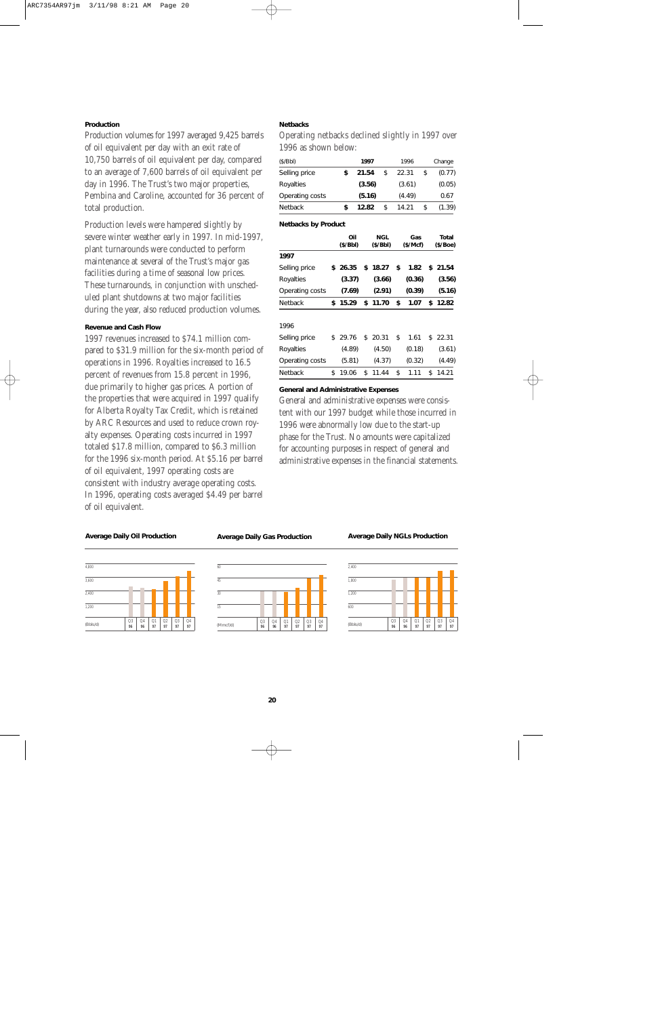#### **Production**

Production volumes for 1997 averaged 9,425 barrels of oil equivalent per day with an exit rate of 10,750 barrels of oil equivalent per day, compared to an average of 7,600 barrels of oil equivalent per day in 1996. The Trust's two major properties, Pembina and Caroline, accounted for 36 percent of total production.

Production levels were hampered slightly by severe winter weather early in 1997. In mid-1997, plant turnarounds were conducted to perform maintenance at several of the Trust's major gas facilities during a time of seasonal low prices. These turnarounds, in conjunction with unscheduled plant shutdowns at two major facilities during the year, also reduced production volumes.

#### **Revenue and Cash Flow**

1997 revenues increased to \$74.1 million compared to \$31.9 million for the six-month period of operations in 1996. Royalties increased to 16.5 percent of revenues from 15.8 percent in 1996, due primarily to higher gas prices. A portion of the properties that were acquired in 1997 qualify for Alberta Royalty Tax Credit, which is retained by ARC Resources and used to reduce crown royalty expenses. Operating costs incurred in 1997 totaled \$17.8 million, compared to \$6.3 million for the 1996 six-month period. At \$5.16 per barrel of oil equivalent, 1997 operating costs are consistent with industry average operating costs. In 1996, operating costs averaged \$4.49 per barrel of oil equivalent.

#### **Netbacks**

Operating netbacks declined slightly in 1997 over 1996 as shown below:

| (\$/Bbl)        | 1997   | 1996        | Change       |
|-----------------|--------|-------------|--------------|
| Selling price   | 21.54  | \$<br>22.31 | \$<br>(0.77) |
| Royalties       | (3.56) | (3.61)      | (0.05)       |
| Operating costs | (5.16) | (4.49)      | 0.67         |
| <b>Netback</b>  | 12.82  | 14.21       | \$<br>(1.39) |

#### **Netbacks by Product**

|                 | Oil<br>(\$/Bbl) | NGL<br>(\$/Bbl) | Gas<br>(\$/Mcf) | Total<br>(\$/Boe) |
|-----------------|-----------------|-----------------|-----------------|-------------------|
| 1997            |                 |                 |                 |                   |
| Selling price   | \$26.35         | \$18.27         | \$<br>1.82      | \$21.54           |
| Royalties       | (3.37)          | (3.66)          | (0.36)          | (3.56)            |
| Operating costs | (7.69)          | (2.91)          | (0.39)          | (5.16)            |
| <b>Netback</b>  | \$15.29         | \$11.70         | \$<br>1.07      | \$12.82           |
|                 |                 |                 |                 |                   |
| 1996            |                 |                 |                 |                   |
| Selling price   | \$29.76         | \$20.31         | \$<br>1.61      | \$<br>22.31       |
| Royalties       | (4.89)          | (4.50)          | (0.18)          | (3.61)            |
| Operating costs | (5.81)          | (4.37)          | (0.32)          | (4.49)            |
| <b>Netback</b>  | \$<br>19.06     | \$<br>11.44     | \$<br>1.11      | \$<br>14.21       |

#### **General and Administrative Expenses**

General and administrative expenses were consistent with our 1997 budget while those incurred in 1996 were abnormally low due to the start-up phase for the Trust. No amounts were capitalized for accounting purposes in respect of general and administrative expenses in the financial statements.

#### **Average Daily Oil Production**

| 4,800    |          |                      |          |          |          |                      |
|----------|----------|----------------------|----------|----------|----------|----------------------|
| 3,600    |          |                      |          |          |          |                      |
| 2,400    |          |                      |          |          |          |                      |
| 1,200    |          |                      |          |          |          |                      |
| (Bbls/d) | Q3<br>96 | Q <sub>4</sub><br>96 | Q1<br>97 | Q2<br>97 | Q3<br>97 | Q <sub>4</sub><br>97 |

#### **Average Daily Gas Production**



#### **Average Daily NGLs Production**

| 2,400    |          |                      |          |                      |                      |                      |
|----------|----------|----------------------|----------|----------------------|----------------------|----------------------|
| 1,800    |          |                      |          |                      |                      |                      |
| 1,200    |          |                      |          |                      |                      |                      |
| 600      |          |                      |          |                      |                      |                      |
| (Bbls/d) | Q3<br>96 | Q <sub>4</sub><br>96 | Q1<br>97 | Q <sub>2</sub><br>97 | Q <sub>3</sub><br>97 | Q <sub>4</sub><br>97 |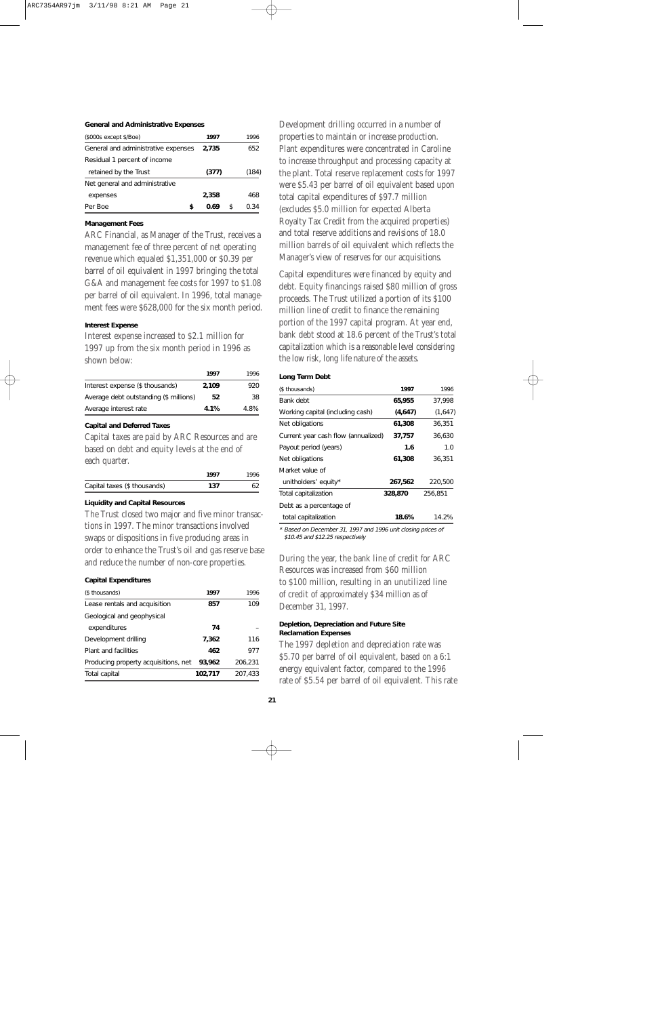#### **General and Administrative Expenses**

| (\$000s except \$/Boe)              |   | 1997  |   | 1996  |
|-------------------------------------|---|-------|---|-------|
| General and administrative expenses |   | 2,735 |   | 652   |
| Residual 1 percent of income        |   |       |   |       |
| retained by the Trust               |   | (377) |   | (184) |
| Net general and administrative      |   |       |   |       |
| expenses                            |   | 2,358 |   | 468   |
| Per Boe                             | S | 0.69  | S | ი 34  |

#### **Management Fees**

ARC Financial, as Manager of the Trust, receives a management fee of three percent of net operating revenue which equaled \$1,351,000 or \$0.39 per barrel of oil equivalent in 1997 bringing the total G&A and management fee costs for 1997 to \$1.08 per barrel of oil equivalent. In 1996, total management fees were \$628,000 for the six month period.

#### **Interest Expense**

Interest expense increased to \$2.1 million for 1997 up from the six month period in 1996 as shown below:

|                                        | 1997  | 1996 |
|----------------------------------------|-------|------|
| Interest expense (\$ thousands)        | 2.109 | 920  |
| Average debt outstanding (\$ millions) | 52    | 38   |
| Average interest rate                  | 4.1%  | 4.8% |

#### **Capital and Deferred Taxes**

Capital taxes are paid by ARC Resources and are based on debt and equity levels at the end of each quarter.

|                              | 1997 | 1996 |
|------------------------------|------|------|
| Capital taxes (\$ thousands) | 137  |      |
|                              |      |      |

#### **Liquidity and Capital Resources**

The Trust closed two major and five minor transactions in 1997. The minor transactions involved swaps or dispositions in five producing areas in order to enhance the Trust's oil and gas reserve base and reduce the number of non-core properties.

#### **Capital Expenditures**

| (\$ thousands)                       | 1997    | 1996    |
|--------------------------------------|---------|---------|
| Lease rentals and acquisition        | 857     | 109     |
| Geological and geophysical           |         |         |
| expenditures                         | 74      |         |
| Development drilling                 | 7,362   | 116     |
| Plant and facilities                 | 462     | 977     |
| Producing property acquisitions, net | 93,962  | 206.231 |
| Total capital                        | 102,717 | 207.433 |

Development drilling occurred in a number of properties to maintain or increase production. Plant expenditures were concentrated in Caroline to increase throughput and processing capacity at the plant. Total reserve replacement costs for 1997 were \$5.43 per barrel of oil equivalent based upon total capital expenditures of \$97.7 million (excludes \$5.0 million for expected Alberta Royalty Tax Credit from the acquired properties) and total reserve additions and revisions of 18.0 million barrels of oil equivalent which reflects the Manager's view of reserves for our acquisitions.

Capital expenditures were financed by equity and debt. Equity financings raised \$80 million of gross proceeds. The Trust utilized a portion of its \$100 million line of credit to finance the remaining portion of the 1997 capital program. At year end, bank debt stood at 18.6 percent of the Trust's total capitalization which is a reasonable level considering the low risk, long life nature of the assets.

#### **Long Term Debt**

| (\$ thousands)                      | 1997    | 1996    |
|-------------------------------------|---------|---------|
| Bank debt                           | 65,955  | 37.998  |
| Working capital (including cash)    | (4,647) | (1,647) |
| Net obligations                     | 61,308  | 36,351  |
| Current year cash flow (annualized) | 37,757  | 36,630  |
| Payout period (years)               | 1.6     | 1.0     |
| Net obligations                     | 61,308  | 36,351  |
| Market value of                     |         |         |
| unitholders' equity*                | 267,562 | 220,500 |
| Total capitalization                | 328,870 | 256,851 |
| Debt as a percentage of             |         |         |
| total capitalization                | 18.6%   | 14.2%   |
|                                     |         |         |

\* Based on December 31, 1997 and 1996 unit closing prices of \$10.45 and \$12.25 respectively

During the year, the bank line of credit for ARC Resources was increased from \$60 million to \$100 million, resulting in an unutilized line of credit of approximately \$34 million as of December 31, 1997.

#### **Depletion, Depreciation and Future Site Reclamation Expenses**

The 1997 depletion and depreciation rate was \$5.70 per barrel of oil equivalent, based on a 6:1 energy equivalent factor, compared to the 1996 rate of \$5.54 per barrel of oil equivalent. This rate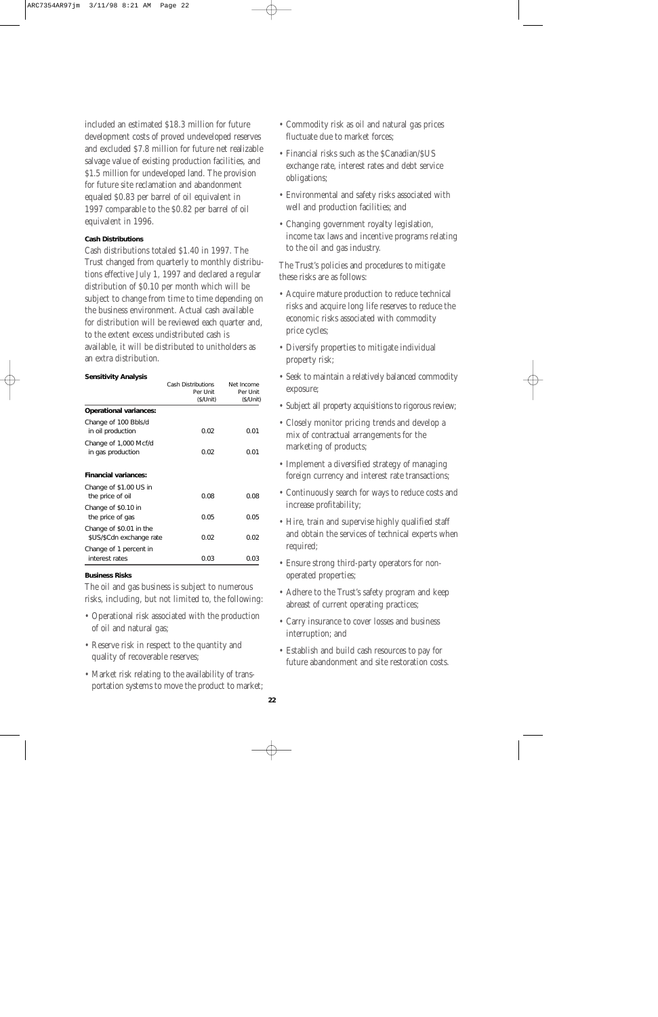included an estimated \$18.3 million for future development costs of proved undeveloped reserves and excluded \$7.8 million for future net realizable salvage value of existing production facilities, and \$1.5 million for undeveloped land. The provision for future site reclamation and abandonment equaled \$0.83 per barrel of oil equivalent in 1997 comparable to the \$0.82 per barrel of oil equivalent in 1996.

#### **Cash Distributions**

Cash distributions totaled \$1.40 in 1997. The Trust changed from quarterly to monthly distributions effective July 1, 1997 and declared a regular distribution of \$0.10 per month which will be subject to change from time to time depending on the business environment. Actual cash available for distribution will be reviewed each quarter and, to the extent excess undistributed cash is available, it will be distributed to unitholders as an extra distribution.

#### **Sensitivity Analysis**

|                                                     | <b>Cash Distributions</b> | Net Income |
|-----------------------------------------------------|---------------------------|------------|
|                                                     | Per Unit                  | Per Unit   |
|                                                     | (\$/Unit)                 | (\$/Unit)  |
| <b>Operational variances:</b>                       |                           |            |
| Change of 100 Bbls/d<br>in oil production           | 0.02                      | 0.01       |
| Change of 1,000 Mcf/d<br>in gas production          | 0.02                      | 0.01       |
| <b>Financial variances:</b>                         |                           |            |
| Change of \$1.00 US in<br>the price of oil          | 0.08                      | 0.08       |
| Change of \$0.10 in<br>the price of gas             | 0.05                      | 0.05       |
| Change of \$0.01 in the<br>\$US/\$Cdn exchange rate | 0.02                      | 0.02       |
| Change of 1 percent in<br>interest rates            | 0.03                      | 0.03       |

#### **Business Risks**

The oil and gas business is subject to numerous risks, including, but not limited to, the following:

- Operational risk associated with the production of oil and natural gas;
- Reserve risk in respect to the quantity and quality of recoverable reserves;
- Market risk relating to the availability of transportation systems to move the product to market;
- Commodity risk as oil and natural gas prices fluctuate due to market forces;
- Financial risks such as the \$Canadian/\$US exchange rate, interest rates and debt service obligations;
- Environmental and safety risks associated with well and production facilities; and
- Changing government royalty legislation, income tax laws and incentive programs relating to the oil and gas industry.

The Trust's policies and procedures to mitigate these risks are as follows:

- Acquire mature production to reduce technical risks and acquire long life reserves to reduce the economic risks associated with commodity price cycles;
- Diversify properties to mitigate individual property risk;
- Seek to maintain a relatively balanced commodity exposure;
- Subject all property acquisitions to rigorous review;
- Closely monitor pricing trends and develop a mix of contractual arrangements for the marketing of products;
- Implement a diversified strategy of managing foreign currency and interest rate transactions;
- Continuously search for ways to reduce costs and increase profitability;
- Hire, train and supervise highly qualified staff and obtain the services of technical experts when required;
- Ensure strong third-party operators for nonoperated properties;
- Adhere to the Trust's safety program and keep abreast of current operating practices;
- Carry insurance to cover losses and business interruption; and
- Establish and build cash resources to pay for future abandonment and site restoration costs.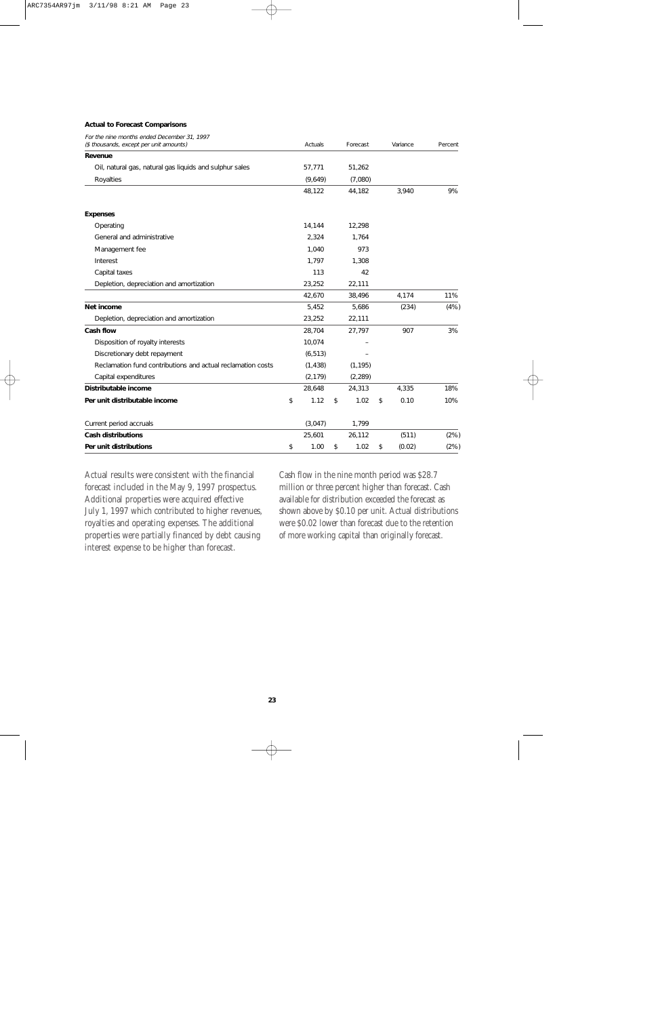#### **Actual to Forecast Comparisons**

| For the nine months ended December 31, 1997                 |            |            |              |         |
|-------------------------------------------------------------|------------|------------|--------------|---------|
| (\$ thousands, except per unit amounts)                     | Actuals    | Forecast   | Variance     | Percent |
| Revenue                                                     |            |            |              |         |
| Oil, natural gas, natural gas liquids and sulphur sales     | 57,771     | 51,262     |              |         |
| Royalties                                                   | (9,649)    | (7,080)    |              |         |
|                                                             | 48,122     | 44,182     | 3,940        | 9%      |
| <b>Expenses</b>                                             |            |            |              |         |
| Operating                                                   | 14,144     | 12,298     |              |         |
| General and administrative                                  | 2,324      | 1,764      |              |         |
| Management fee                                              | 1.040      | 973        |              |         |
| Interest                                                    | 1,797      | 1,308      |              |         |
| Capital taxes                                               | 113        | 42         |              |         |
| Depletion, depreciation and amortization                    | 23,252     | 22,111     |              |         |
|                                                             | 42,670     | 38,496     | 4,174        | 11%     |
| Net income                                                  | 5,452      | 5,686      | (234)        | (4% )   |
| Depletion, depreciation and amortization                    | 23,252     | 22,111     |              |         |
| Cash flow                                                   | 28,704     | 27,797     | 907          | 3%      |
| Disposition of royalty interests                            | 10,074     |            |              |         |
| Discretionary debt repayment                                | (6, 513)   |            |              |         |
| Reclamation fund contributions and actual reclamation costs | (1, 438)   | (1, 195)   |              |         |
| Capital expenditures                                        | (2, 179)   | (2, 289)   |              |         |
| Distributable income                                        | 28,648     | 24,313     | 4,335        | 18%     |
| Per unit distributable income                               | \$<br>1.12 | \$<br>1.02 | \$<br>0.10   | 10%     |
| Current period accruals                                     | (3,047)    | 1,799      |              |         |
| <b>Cash distributions</b>                                   | 25,601     | 26,112     | (511)        | (2%)    |
| Per unit distributions                                      | \$<br>1.00 | \$<br>1.02 | \$<br>(0.02) | (2%)    |

Actual results were consistent with the financial forecast included in the May 9, 1997 prospectus. Additional properties were acquired effective July 1, 1997 which contributed to higher revenues, royalties and operating expenses. The additional properties were partially financed by debt causing interest expense to be higher than forecast.

Cash flow in the nine month period was \$28.7 million or three percent higher than forecast. Cash available for distribution exceeded the forecast as shown above by \$0.10 per unit. Actual distributions were \$0.02 lower than forecast due to the retention of more working capital than originally forecast.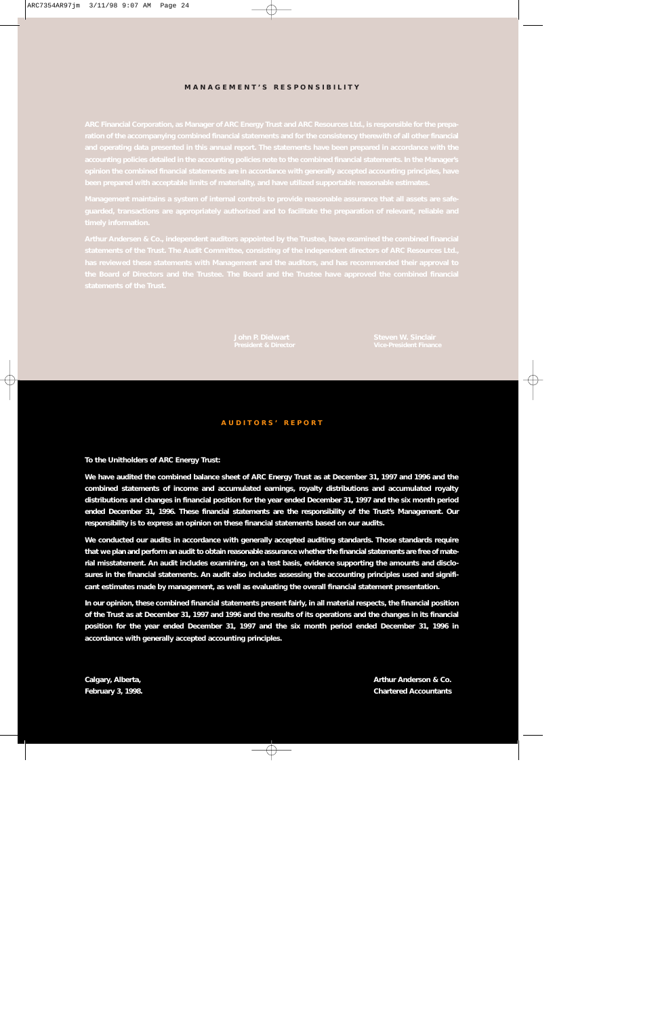#### **MANAGEMENT'S RESPONSIBILITY**

#### **AUDITORS' REPORT**

#### **To the Unitholders of ARC Energy Trust:**

**We have audited the combined balance sheet of ARC Energy Trust as at December 31, 1997 and 1996 and the combined statements of income and accumulated earnings, royalty distributions and accumulated royalty distributions and changes in financial position for the year ended December 31, 1997 and the six month period ended December 31, 1996. These financial statements are the responsibility of the Trust's Management. Our responsibility is to express an opinion on these financial statements based on our audits.**

**We conducted our audits in accordance with generally accepted auditing standards. Those standards require that we plan and perform an audit to obtain reasonable assurance whether the financial statements are free of material misstatement. An audit includes examining, on a test basis, evidence supporting the amounts and disclosures in the financial statements. An audit also includes assessing the accounting principles used and significant estimates made by management, as well as evaluating the overall financial statement presentation.**

**In our opinion, these combined financial statements present fairly, in all material respects, the financial position of the Trust as at December 31, 1997 and 1996 and the results of its operations and the changes in its financial position for the year ended December 31, 1997 and the six month period ended December 31, 1996 in accordance with generally accepted accounting principles.**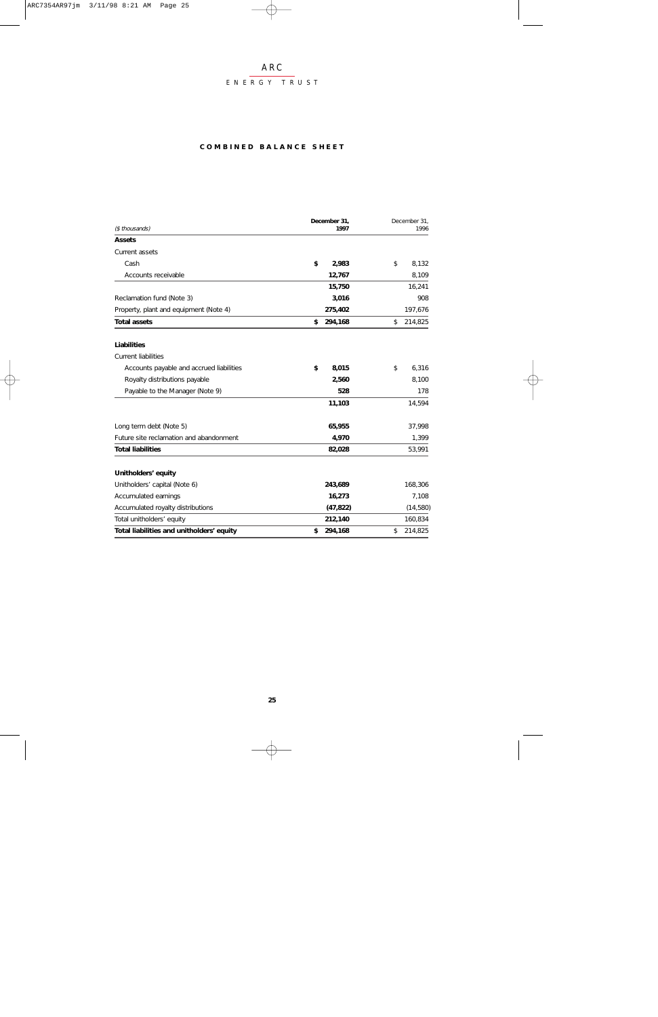#### ENERGY TRUST

#### **COMBINED BALANCE SHEET**

| (\$ thousands)                            | December 31,<br>1997 | December 31,<br>1996 |
|-------------------------------------------|----------------------|----------------------|
| <b>Assets</b>                             |                      |                      |
| Current assets                            |                      |                      |
| Cash                                      | \$<br>2,983          | \$<br>8,132          |
| Accounts receivable                       | 12,767               | 8,109                |
|                                           | 15,750               | 16,241               |
| Reclamation fund (Note 3)                 | 3,016                | 908                  |
| Property, plant and equipment (Note 4)    | 275,402              | 197,676              |
| <b>Total assets</b>                       | \$<br>294,168        | \$<br>214,825        |
| Liabilities                               |                      |                      |
| <b>Current liabilities</b>                |                      |                      |
| Accounts payable and accrued liabilities  | \$<br>8,015          | 6,316<br>\$          |
| Royalty distributions payable             | 2,560                | 8,100                |
| Payable to the Manager (Note 9)           | 528                  | 178                  |
|                                           | 11,103               | 14,594               |
| Long term debt (Note 5)                   | 65,955               | 37,998               |
| Future site reclamation and abandonment   | 4,970                | 1,399                |
| <b>Total liabilities</b>                  | 82,028               | 53,991               |
| Unitholders' equity                       |                      |                      |
| Unitholders' capital (Note 6)             | 243,689              | 168,306              |
| Accumulated earnings                      | 16,273               | 7,108                |
| Accumulated royalty distributions         | (47, 822)            | (14, 580)            |
| Total unitholders' equity                 | 212,140              | 160,834              |
| Total liabilities and unitholders' equity | 294,168<br>\$        | \$<br>214,825        |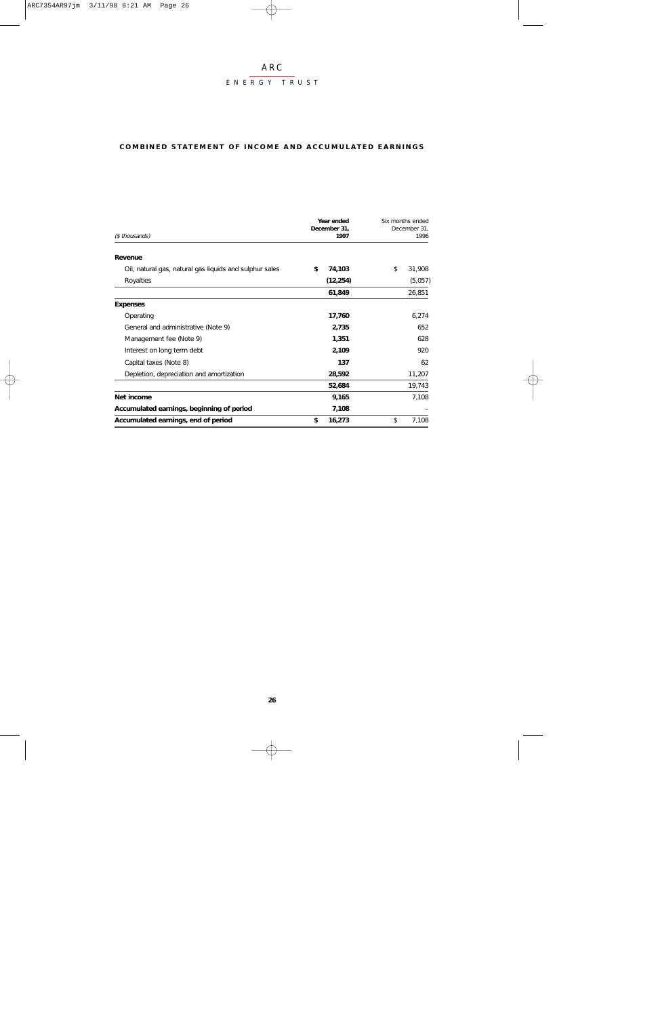#### ENERGY TRUST

#### **COMBINED STATEMENT OF INCOME AND ACCUMULATED EARNINGS**

| (\$ thousands)                                          | Year ended<br>December 31,<br>1997 | Six months ended<br>December 31,<br>1996 |
|---------------------------------------------------------|------------------------------------|------------------------------------------|
| Revenue                                                 |                                    |                                          |
| Oil, natural gas, natural gas liquids and sulphur sales | \$<br>74,103                       | \$<br>31,908                             |
| Royalties                                               | (12, 254)                          | (5,057)                                  |
|                                                         | 61,849                             | 26,851                                   |
| <b>Expenses</b>                                         |                                    |                                          |
| Operating                                               | 17,760                             | 6,274                                    |
| General and administrative (Note 9)                     | 2,735                              | 652                                      |
| Management fee (Note 9)                                 | 1,351                              | 628                                      |
| Interest on long term debt                              | 2,109                              | 920                                      |
| Capital taxes (Note 8)                                  | 137                                | 62                                       |
| Depletion, depreciation and amortization                | 28,592                             | 11,207                                   |
|                                                         | 52,684                             | 19,743                                   |
| Net income                                              | 9,165                              | 7,108                                    |
| Accumulated earnings, beginning of period               | 7,108                              |                                          |
| Accumulated earnings, end of period                     | \$<br>16,273                       | 7,108<br>\$                              |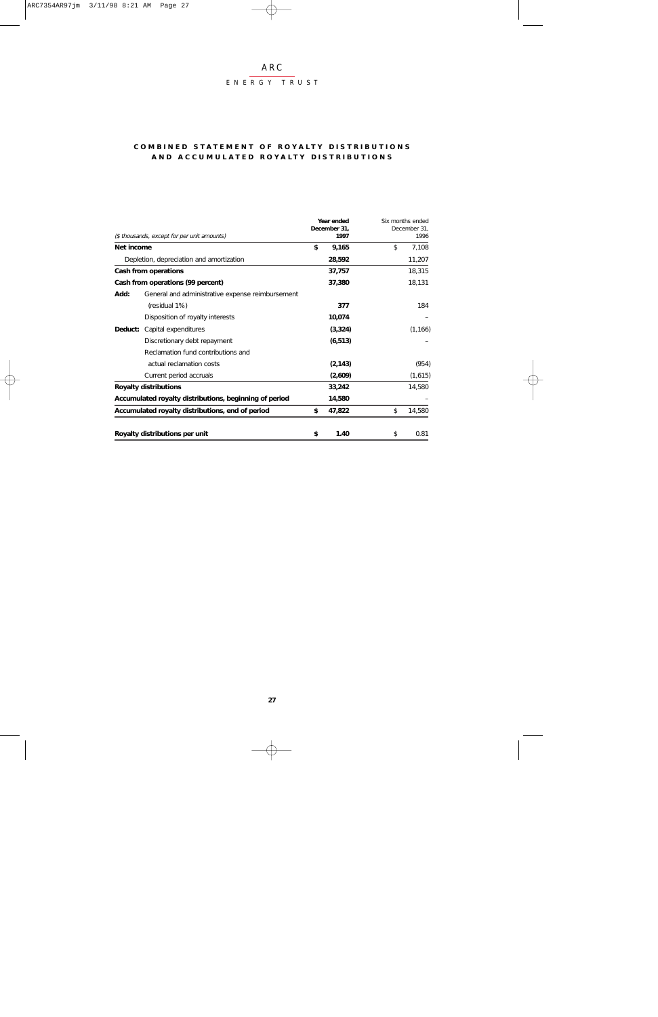#### ENERGY TRUST

#### **COMBINED STATEMENT OF ROYALTY DISTRIBUTIONS AND ACCUMULATED ROYALTY DISTRIBUTIONS**

|            |                                                        | Year ended<br>December 31, | Six months ended<br>December 31, |
|------------|--------------------------------------------------------|----------------------------|----------------------------------|
|            | (\$ thousands, except for per unit amounts)            | 1997                       | 1996                             |
| Net income |                                                        | \$<br>9,165                | \$<br>7,108                      |
|            | Depletion, depreciation and amortization               | 28,592                     | 11,207                           |
|            | Cash from operations                                   | 37,757                     | 18,315                           |
|            | Cash from operations (99 percent)                      | 37,380                     | 18,131                           |
| Add:       | General and administrative expense reimbursement       |                            |                                  |
|            | (residual 1%)                                          | 377                        | 184                              |
|            | Disposition of royalty interests                       | 10,074                     |                                  |
| Deduct:    | Capital expenditures                                   | (3, 324)                   | (1, 166)                         |
|            | Discretionary debt repayment                           | (6, 513)                   |                                  |
|            | Reclamation fund contributions and                     |                            |                                  |
|            | actual reclamation costs                               | (2, 143)                   | (954)                            |
|            | Current period accruals                                | (2,609)                    | (1,615)                          |
|            | <b>Royalty distributions</b>                           | 33,242                     | 14,580                           |
|            | Accumulated royalty distributions, beginning of period | 14,580                     |                                  |
|            | Accumulated royalty distributions, end of period       | \$<br>47,822               | \$<br>14,580                     |
|            |                                                        |                            |                                  |
|            | Royalty distributions per unit                         | \$<br>1.40                 | \$<br>0.81                       |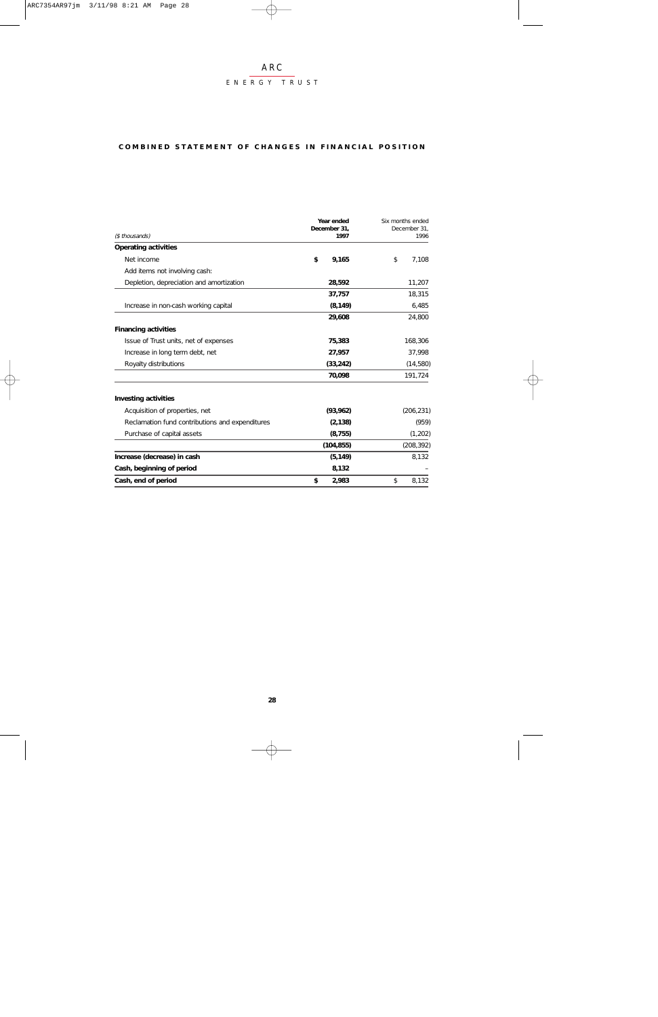#### ENERGY TRUST

#### **COMBINED STATEMENT OF CHANGES IN FINANCIAL POSITION**

|                                                 | Year ended<br>December 31, |             |
|-------------------------------------------------|----------------------------|-------------|
| (\$ thousands)                                  | 1997                       | 1996        |
| <b>Operating activities</b>                     |                            |             |
| Net income                                      | \$<br>9,165                | \$<br>7.108 |
| Add items not involving cash:                   |                            |             |
| Depletion, depreciation and amortization        | 28,592                     | 11,207      |
|                                                 | 37,757                     | 18,315      |
| Increase in non-cash working capital            | (8, 149)                   | 6,485       |
|                                                 | 29,608                     | 24,800      |
| <b>Financing activities</b>                     |                            |             |
| Issue of Trust units, net of expenses           | 75,383                     | 168,306     |
| Increase in long term debt, net                 | 27,957                     | 37,998      |
| Royalty distributions                           | (33, 242)                  | (14, 580)   |
|                                                 | 70,098                     | 191,724     |
| <b>Investing activities</b>                     |                            |             |
| Acquisition of properties, net                  | (93, 962)                  | (206, 231)  |
| Reclamation fund contributions and expenditures | (2, 138)                   | (959)       |
| Purchase of capital assets                      | (8, 755)                   | (1,202)     |
|                                                 | (104, 855)                 | (208, 392)  |
| Increase (decrease) in cash                     | (5, 149)                   | 8,132       |
| Cash, beginning of period                       | 8,132                      |             |
| Cash, end of period                             | 2,983<br>\$                | 8,132<br>\$ |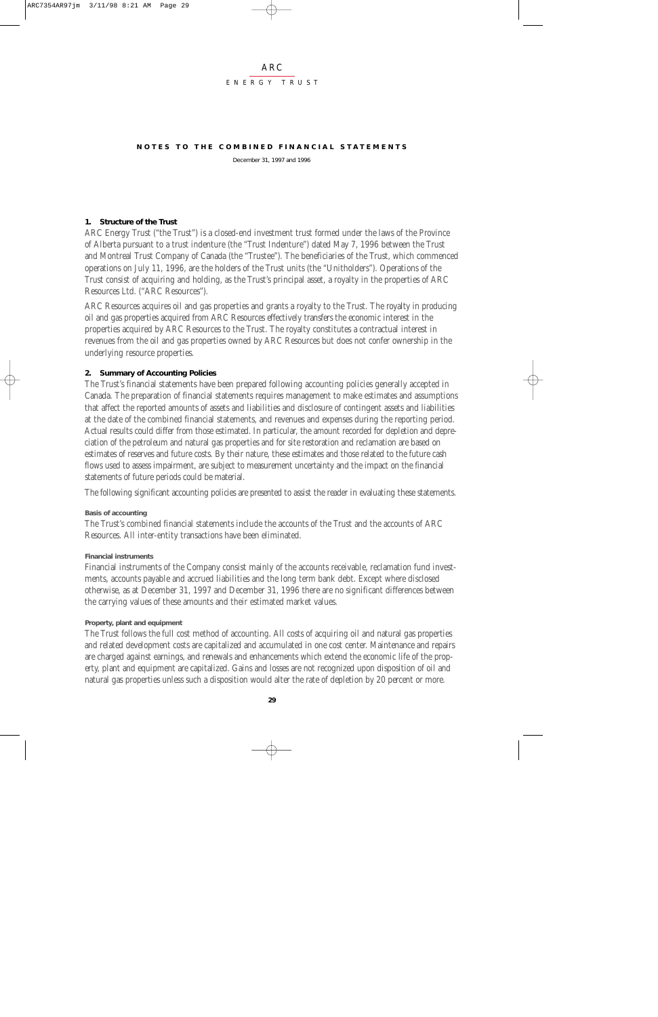#### ARC ENERGY TRUST

#### **NOTES TO THE COMBINED FINANCIAL STATEMENTS**

December 31, 1997 and 1996

#### **1. Structure of the Trust**

ARC Energy Trust ("the Trust") is a closed-end investment trust formed under the laws of the Province of Alberta pursuant to a trust indenture (the "Trust Indenture") dated May 7, 1996 between the Trust and Montreal Trust Company of Canada (the "Trustee"). The beneficiaries of the Trust, which commenced operations on July 11, 1996, are the holders of the Trust units (the "Unitholders"). Operations of the Trust consist of acquiring and holding, as the Trust's principal asset, a royalty in the properties of ARC Resources Ltd. ("ARC Resources").

ARC Resources acquires oil and gas properties and grants a royalty to the Trust. The royalty in producing oil and gas properties acquired from ARC Resources effectively transfers the economic interest in the properties acquired by ARC Resources to the Trust. The royalty constitutes a contractual interest in revenues from the oil and gas properties owned by ARC Resources but does not confer ownership in the underlying resource properties.

#### **2. Summary of Accounting Policies**

The Trust's financial statements have been prepared following accounting policies generally accepted in Canada. The preparation of financial statements requires management to make estimates and assumptions that affect the reported amounts of assets and liabilities and disclosure of contingent assets and liabilities at the date of the combined financial statements, and revenues and expenses during the reporting period. Actual results could differ from those estimated. In particular, the amount recorded for depletion and depreciation of the petroleum and natural gas properties and for site restoration and reclamation are based on estimates of reserves and future costs. By their nature, these estimates and those related to the future cash flows used to assess impairment, are subject to measurement uncertainty and the impact on the financial statements of future periods could be material.

The following significant accounting policies are presented to assist the reader in evaluating these statements.

#### **Basis of accounting**

The Trust's combined financial statements include the accounts of the Trust and the accounts of ARC Resources. All inter-entity transactions have been eliminated.

#### **Financial instruments**

Financial instruments of the Company consist mainly of the accounts receivable, reclamation fund investments, accounts payable and accrued liabilities and the long term bank debt. Except where disclosed otherwise, as at December 31, 1997 and December 31, 1996 there are no significant differences between the carrying values of these amounts and their estimated market values.

#### **Property, plant and equipment**

The Trust follows the full cost method of accounting. All costs of acquiring oil and natural gas properties and related development costs are capitalized and accumulated in one cost center. Maintenance and repairs are charged against earnings, and renewals and enhancements which extend the economic life of the property, plant and equipment are capitalized. Gains and losses are not recognized upon disposition of oil and natural gas properties unless such a disposition would alter the rate of depletion by 20 percent or more.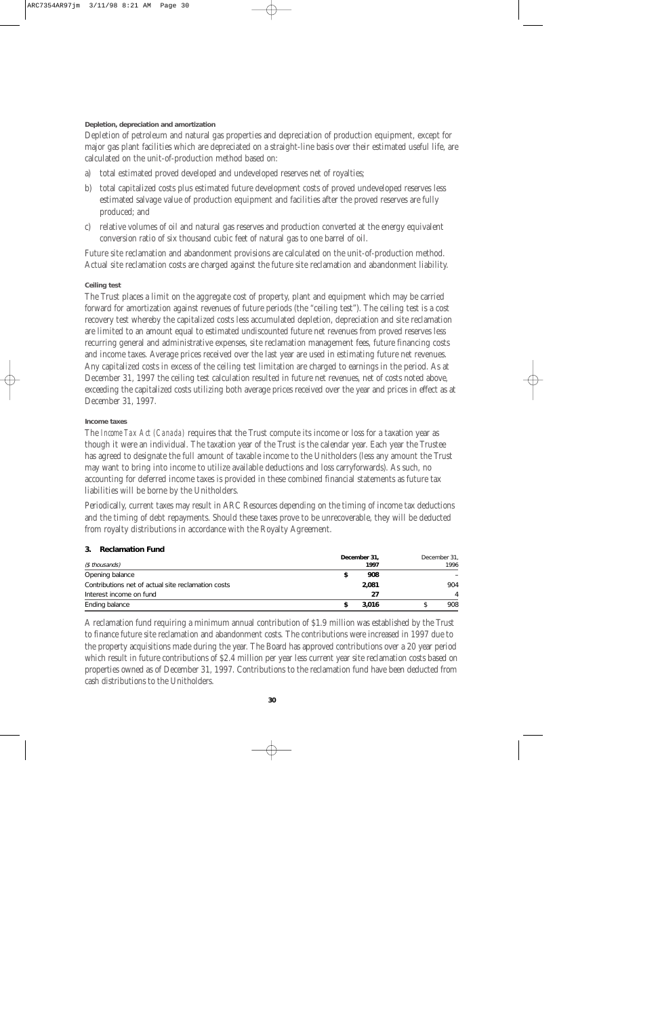#### **Depletion, depreciation and amortization**

Depletion of petroleum and natural gas properties and depreciation of production equipment, except for major gas plant facilities which are depreciated on a straight-line basis over their estimated useful life, are calculated on the unit-of-production method based on:

- a) total estimated proved developed and undeveloped reserves net of royalties;
- b) total capitalized costs plus estimated future development costs of proved undeveloped reserves less estimated salvage value of production equipment and facilities after the proved reserves are fully produced; and
- c) relative volumes of oil and natural gas reserves and production converted at the energy equivalent conversion ratio of six thousand cubic feet of natural gas to one barrel of oil.

Future site reclamation and abandonment provisions are calculated on the unit-of-production method. Actual site reclamation costs are charged against the future site reclamation and abandonment liability.

#### **Ceiling test**

The Trust places a limit on the aggregate cost of property, plant and equipment which may be carried forward for amortization against revenues of future periods (the "ceiling test"). The ceiling test is a cost recovery test whereby the capitalized costs less accumulated depletion, depreciation and site reclamation are limited to an amount equal to estimated undiscounted future net revenues from proved reserves less recurring general and administrative expenses, site reclamation management fees, future financing costs and income taxes. Average prices received over the last year are used in estimating future net revenues. Any capitalized costs in excess of the ceiling test limitation are charged to earnings in the period. As at December 31, 1997 the ceiling test calculation resulted in future net revenues, net of costs noted above, exceeding the capitalized costs utilizing both average prices received over the year and prices in effect as at December 31, 1997.

#### **Income taxes**

The *Income Tax Act (Canada)* requires that the Trust compute its income or loss for a taxation year as though it were an individual. The taxation year of the Trust is the calendar year. Each year the Trustee has agreed to designate the full amount of taxable income to the Unitholders (less any amount the Trust may want to bring into income to utilize available deductions and loss carryforwards). As such, no accounting for deferred income taxes is provided in these combined financial statements as future tax liabilities will be borne by the Unitholders.

Periodically, current taxes may result in ARC Resources depending on the timing of income tax deductions and the timing of debt repayments. Should these taxes prove to be unrecoverable, they will be deducted from royalty distributions in accordance with the Royalty Agreement.

#### **3. Reclamation Fund**

|                                                    | December 31, | December 31, |
|----------------------------------------------------|--------------|--------------|
| (\$ thousands)                                     | 1997         | 1996         |
| Opening balance                                    | 908          |              |
| Contributions net of actual site reclamation costs | 2,081        | 904          |
| Interest income on fund                            | 27           | 4            |
| Ending balance                                     | 3.016        | 908          |

A reclamation fund requiring a minimum annual contribution of \$1.9 million was established by the Trust to finance future site reclamation and abandonment costs. The contributions were increased in 1997 due to the property acquisitions made during the year. The Board has approved contributions over a 20 year period which result in future contributions of \$2.4 million per year less current year site reclamation costs based on properties owned as of December 31, 1997. Contributions to the reclamation fund have been deducted from cash distributions to the Unitholders.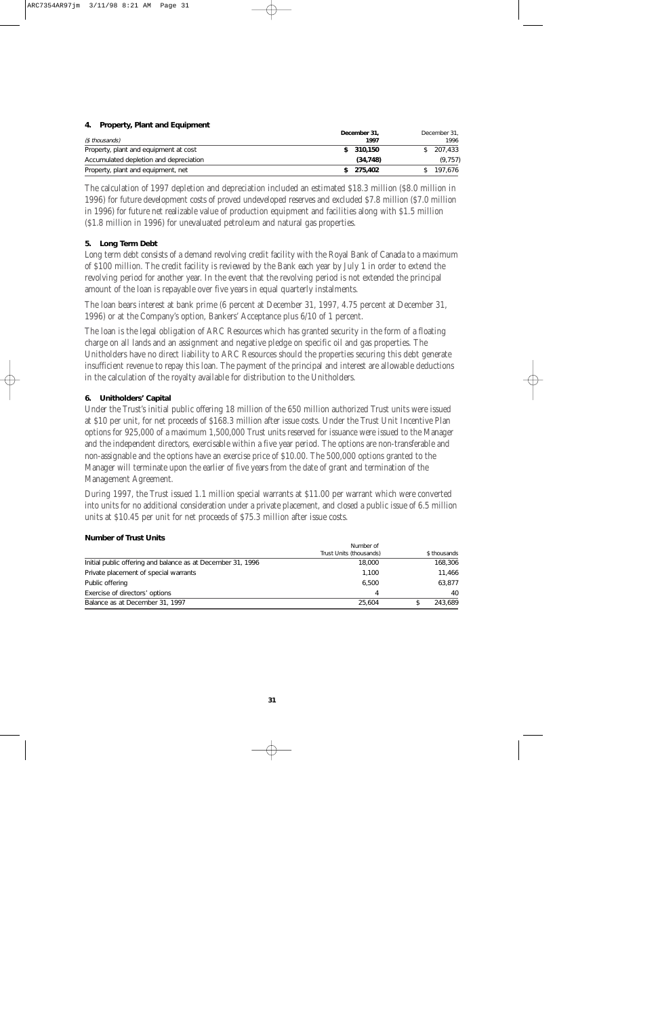#### **4. Property, Plant and Equipment**

| (\$ thousands)                         | December 31,<br>1997 | December 31,<br>1996 |
|----------------------------------------|----------------------|----------------------|
| Property, plant and equipment at cost  | \$310.150            | 207.433              |
| Accumulated depletion and depreciation | (34.748)             | (9, 757)             |
| Property, plant and equipment, net     | 275.402              | 197.676              |

The calculation of 1997 depletion and depreciation included an estimated \$18.3 million (\$8.0 million in 1996) for future development costs of proved undeveloped reserves and excluded \$7.8 million (\$7.0 million in 1996) for future net realizable value of production equipment and facilities along with \$1.5 million (\$1.8 million in 1996) for unevaluated petroleum and natural gas properties.

#### **5. Long Term Debt**

Long term debt consists of a demand revolving credit facility with the Royal Bank of Canada to a maximum of \$100 million. The credit facility is reviewed by the Bank each year by July 1 in order to extend the revolving period for another year. In the event that the revolving period is not extended the principal amount of the loan is repayable over five years in equal quarterly instalments.

The loan bears interest at bank prime (6 percent at December 31, 1997, 4.75 percent at December 31, 1996) or at the Company's option, Bankers' Acceptance plus 6/10 of 1 percent.

The loan is the legal obligation of ARC Resources which has granted security in the form of a floating charge on all lands and an assignment and negative pledge on specific oil and gas properties. The Unitholders have no direct liability to ARC Resources should the properties securing this debt generate insufficient revenue to repay this loan. The payment of the principal and interest are allowable deductions in the calculation of the royalty available for distribution to the Unitholders.

#### **6. Unitholders' Capital**

Under the Trust's initial public offering 18 million of the 650 million authorized Trust units were issued at \$10 per unit, for net proceeds of \$168.3 million after issue costs. Under the Trust Unit Incentive Plan options for 925,000 of a maximum 1,500,000 Trust units reserved for issuance were issued to the Manager and the independent directors, exercisable within a five year period. The options are non-transferable and non-assignable and the options have an exercise price of \$10.00. The 500,000 options granted to the Manager will terminate upon the earlier of five years from the date of grant and termination of the Management Agreement.

During 1997, the Trust issued 1.1 million special warrants at \$11.00 per warrant which were converted into units for no additional consideration under a private placement, and closed a public issue of 6.5 million units at \$10.45 per unit for net proceeds of \$75.3 million after issue costs.

#### **Number of Trust Units**

|                                                             | Number of               |  |              |
|-------------------------------------------------------------|-------------------------|--|--------------|
|                                                             | Trust Units (thousands) |  | \$ thousands |
| Initial public offering and balance as at December 31, 1996 | 18,000                  |  | 168.306      |
| Private placement of special warrants                       | 1.100                   |  | 11.466       |
| Public offering                                             | 6.500                   |  | 63.877       |
| Exercise of directors' options                              | 4                       |  | 40           |
| Balance as at December 31, 1997                             | 25.604                  |  | 243.689      |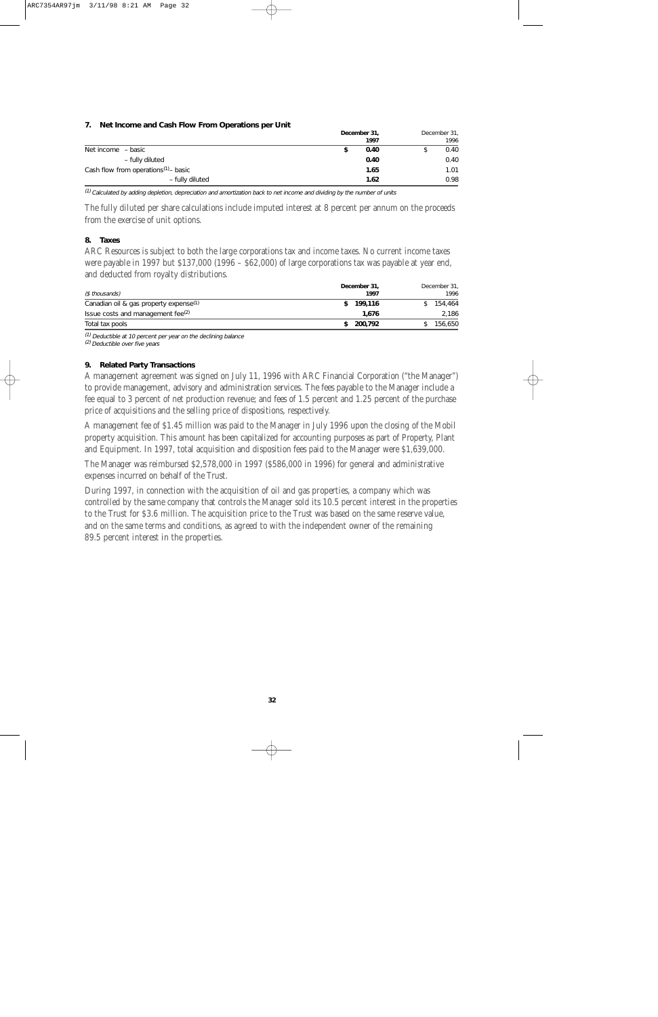#### **7. Net Income and Cash Flow From Operations per Unit**

|                                                  | December 31, |  | December 31, |  |
|--------------------------------------------------|--------------|--|--------------|--|
|                                                  | 1997         |  | 1996         |  |
| Net income - basic                               | 0.40         |  | 0.40         |  |
| - fully diluted                                  | 0.40         |  | 0.40         |  |
| Cash flow from operations <sup>(1)</sup> - basic | 1.65         |  | 1.01         |  |
| - fully diluted                                  | 1.62         |  | 0.98         |  |

(1) Calculated by adding depletion, depreciation and amortization back to net income and dividing by the number of units

The fully diluted per share calculations include imputed interest at 8 percent per annum on the proceeds from the exercise of unit options.

#### **8. Taxes**

ARC Resources is subject to both the large corporations tax and income taxes. No current income taxes were payable in 1997 but \$137,000 (1996 – \$62,000) of large corporations tax was payable at year end, and deducted from royalty distributions.

| (\$ thousands)                                     | December 31,<br>1997 | December 31,<br>1996 |
|----------------------------------------------------|----------------------|----------------------|
| Canadian oil & gas property expense <sup>(1)</sup> | 199,116              | 154,464              |
| Issue costs and management fee <sup>(2)</sup>      | 1.676                | 2,186                |
| Total tax pools                                    | 200.792              | 156.650              |

(1) Deductible at 10 percent per year on the declining balance

(2) Deductible over five years

#### **9. Related Party Transactions**

A management agreement was signed on July 11, 1996 with ARC Financial Corporation ("the Manager") to provide management, advisory and administration services. The fees payable to the Manager include a fee equal to 3 percent of net production revenue; and fees of 1.5 percent and 1.25 percent of the purchase price of acquisitions and the selling price of dispositions, respectively.

A management fee of \$1.45 million was paid to the Manager in July 1996 upon the closing of the Mobil property acquisition. This amount has been capitalized for accounting purposes as part of Property, Plant and Equipment. In 1997, total acquisition and disposition fees paid to the Manager were \$1,639,000.

The Manager was reimbursed \$2,578,000 in 1997 (\$586,000 in 1996) for general and administrative expenses incurred on behalf of the Trust.

During 1997, in connection with the acquisition of oil and gas properties, a company which was controlled by the same company that controls the Manager sold its 10.5 percent interest in the properties to the Trust for \$3.6 million. The acquisition price to the Trust was based on the same reserve value, and on the same terms and conditions, as agreed to with the independent owner of the remaining 89.5 percent interest in the properties.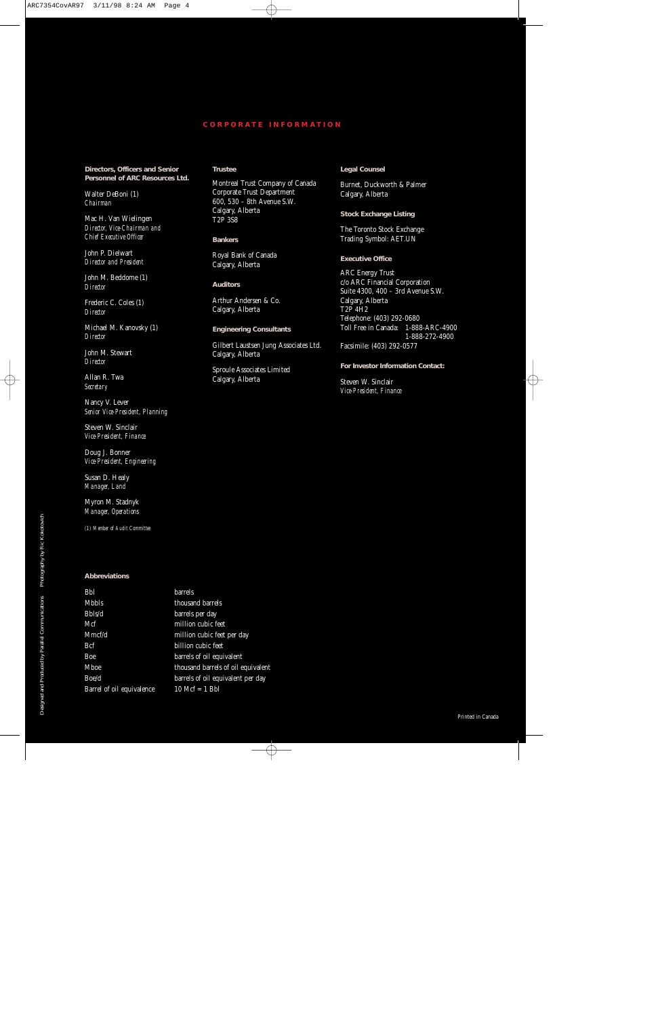#### **CORPORA TE INFORMATION**

**Directors, Officers and Senior Personnel of ARC Resources Ltd.**

Walter DeBoni (1) *Chairman*

Mac H. Van Wielingen *Director, Vice-Chairman and Chief Executive Officer*

John P. Dielwart *Director and President*

John M. Beddome (1) *Director*

Frederic C. Coles (1) *Director*

Michael M. Kanovsky (1) *Director*

John M. Stewart *Director*

Allan R. Twa *Secretary*

Nancy V. Lever *Senior Vice-President, Planning*

Steven W. Sinclair *Vice-President, Finance*

Doug J. Bonner *Vice-President, Engineering*

Susan D. Healy *Manager, Land*

Myron M. Stadnyk *Manager, Operations*

*(1) Member of Audit Committee*

#### **Abbreviations**

| Bbl                       | barrels                            |
|---------------------------|------------------------------------|
| Mbbls                     | thousand barrels                   |
| Bbls/d                    | barrels per day                    |
| Mcf                       | million cubic feet                 |
| Mmcf/d                    | million cubic feet per day         |
| Bcf                       | billion cubic feet                 |
| Boe                       | barrels of oil equivalent          |
| Mboe                      | thousand barrels of oil equivalent |
| Boe/d                     | barrels of oil equivalent per day  |
| Barrel of oil equivalence | $10$ Mcf = 1 Bbl                   |

#### **Trustee**

Montreal Trust Company of Canada Corporate Trust Department 600, 530 – 8th Avenue S.W. Calgary, Alberta T2P 3S8

**Bankers**

Royal Bank of Canada Calgary, Alberta

**Auditors**

Arthur Andersen & Co. Calgary, Alberta

**Engineering Consultants**

Gilbert Laustsen Jung Associates Ltd. Calgary, Alberta

Sproule Associates Limited Calgary, Alberta

**Legal Counsel**

Burnet, Duckworth & Palmer Calgary, Alberta

**Stock Exchange Listing**

The Toronto Stock Exchange Trading Symbol: AET.UN

**Executive Office**

ARC Energy Trust c/o ARC Financial Corporation Suite 4300, 400 – 3rd Avenue S.W. Calgary, Alberta T2P 4H2 Telephone: (403) 292-0680 Toll Free in Canada: 1-888-ARC-4900 1-888-272-4900 Facsimile: (403) 292-0577

**For Investor Information Contact:**

Steven W. Sinclair *Vice-President, Finance*